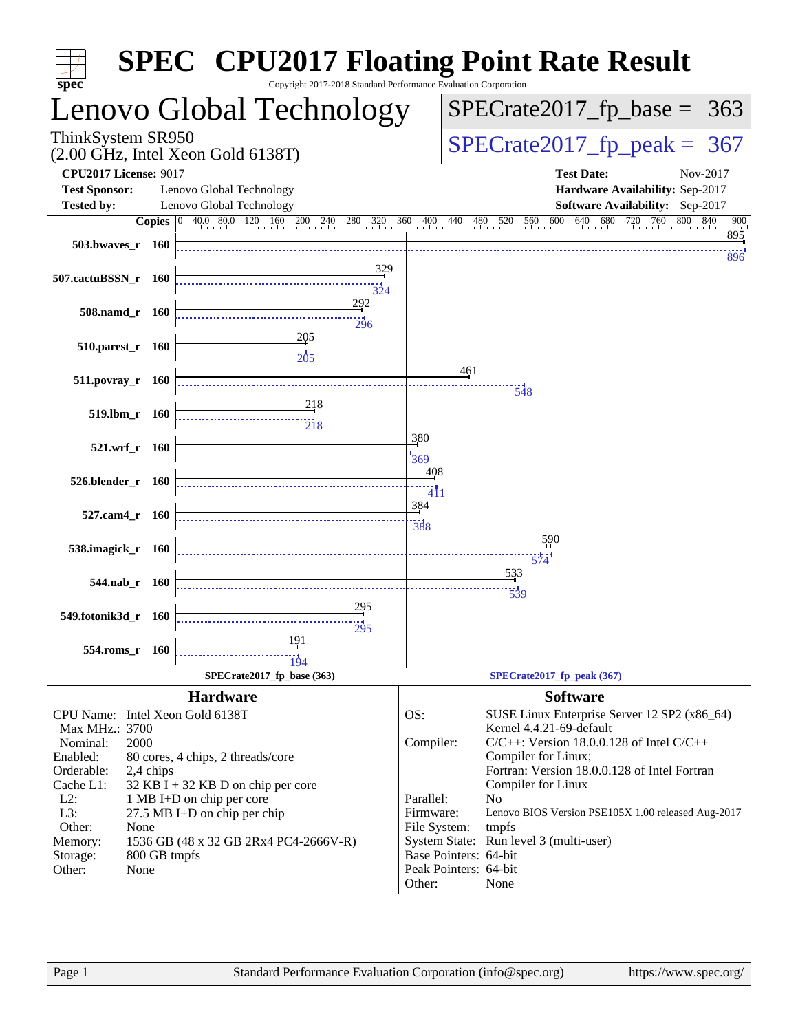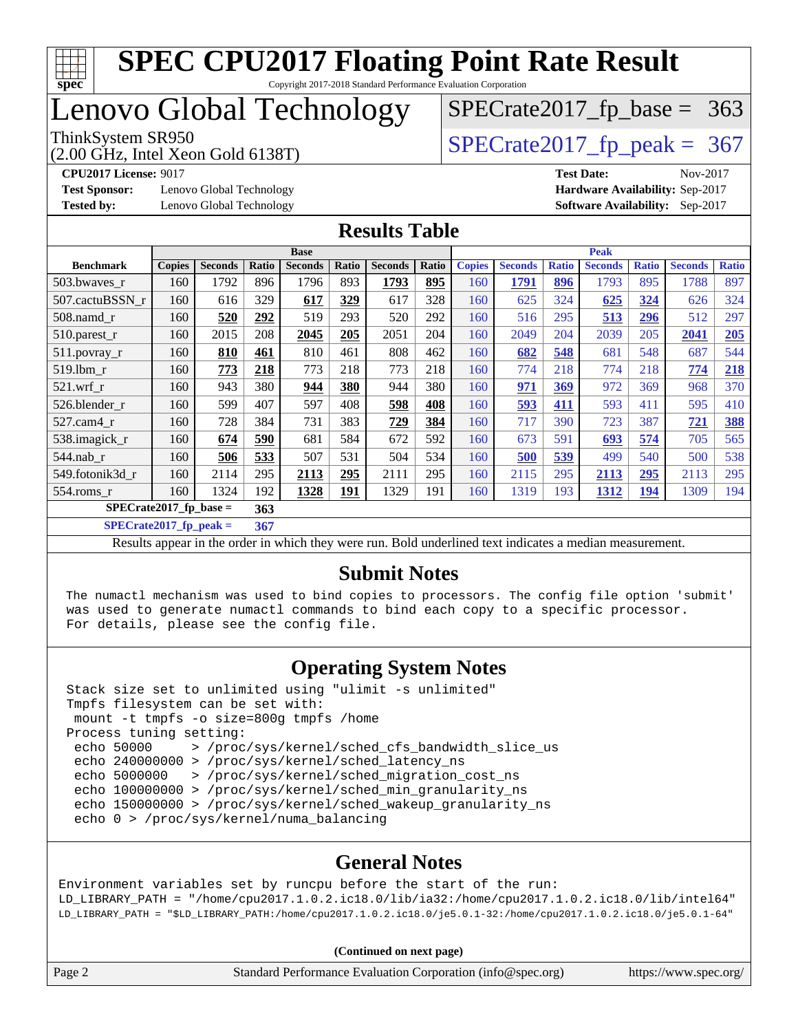

### Lenovo Global Technology

(2.00 GHz, Intel Xeon Gold 6138T)

ThinkSystem SR950<br>(2.00 GHz, Intel Xeon Gold 6138T) [SPECrate2017\\_fp\\_peak =](http://www.spec.org/auto/cpu2017/Docs/result-fields.html#SPECrate2017fppeak) 367

 $SPECTate2017_fp\_base = 363$ 

**[Test Sponsor:](http://www.spec.org/auto/cpu2017/Docs/result-fields.html#TestSponsor)** Lenovo Global Technology **[Hardware Availability:](http://www.spec.org/auto/cpu2017/Docs/result-fields.html#HardwareAvailability)** Sep-2017 **[Tested by:](http://www.spec.org/auto/cpu2017/Docs/result-fields.html#Testedby)** Lenovo Global Technology **[Software Availability:](http://www.spec.org/auto/cpu2017/Docs/result-fields.html#SoftwareAvailability)** Sep-2017

**[CPU2017 License:](http://www.spec.org/auto/cpu2017/Docs/result-fields.html#CPU2017License)** 9017 **[Test Date:](http://www.spec.org/auto/cpu2017/Docs/result-fields.html#TestDate)** Nov-2017

#### **[Results Table](http://www.spec.org/auto/cpu2017/Docs/result-fields.html#ResultsTable)**

|                  | <b>Base</b>                                        |                |       |                | <b>Peak</b> |                |       |               |                |              |                |              |                |              |
|------------------|----------------------------------------------------|----------------|-------|----------------|-------------|----------------|-------|---------------|----------------|--------------|----------------|--------------|----------------|--------------|
| <b>Benchmark</b> | <b>Copies</b>                                      | <b>Seconds</b> | Ratio | <b>Seconds</b> | Ratio       | <b>Seconds</b> | Ratio | <b>Copies</b> | <b>Seconds</b> | <b>Ratio</b> | <b>Seconds</b> | <b>Ratio</b> | <b>Seconds</b> | <b>Ratio</b> |
| 503.bwaves r     | 160                                                | 1792           | 896   | 1796           | 893         | 1793           | 895   | 160           | 1791           | 896          | 1793           | 895          | 1788           | 897          |
| 507.cactuBSSN r  | 160                                                | 616            | 329   | 617            | 329         | 617            | 328   | 160           | 625            | 324          | 625            | 324          | 626            | 324          |
| $508$ .namd $r$  | 160                                                | 520            | 292   | 519            | 293         | 520            | 292   | 160           | 516            | 295          | 513            | 296          | 512            | 297          |
| 510.parest_r     | 160                                                | 2015           | 208   | 2045           | 205         | 2051           | 204   | 160           | 2049           | 204          | 2039           | 205          | 2041           | 205          |
| 511.povray_r     | 160                                                | 810            | 461   | 810            | 461         | 808            | 462   | 160           | 682            | 548          | 681            | 548          | 687            | 544          |
| 519.1bm r        | 160                                                | 773            | 218   | 773            | 218         | 773            | 218   | 160           | 774            | 218          | 774            | 218          | 774            | 218          |
| $521$ .wrf r     | 160                                                | 943            | 380   | 944            | 380         | 944            | 380   | 160           | 971            | 369          | 972            | 369          | 968            | 370          |
| 526.blender r    | 160                                                | 599            | 407   | 597            | 408         | 598            | 408   | 160           | 593            | 411          | 593            | 411          | 595            | 410          |
| $527$ .cam $4$ r | 160                                                | 728            | 384   | 731            | 383         | 729            | 384   | 160           | 717            | 390          | 723            | 387          | 721            | 388          |
| 538.imagick_r    | 160                                                | 674            | 590   | 681            | 584         | 672            | 592   | 160           | 673            | 591          | 693            | 574          | 705            | 565          |
| $544$ .nab r     | 160                                                | 506            | 533   | 507            | 531         | 504            | 534   | 160           | 500            | 539          | 499            | 540          | 500            | 538          |
| 549.fotonik3d r  | 160                                                | 2114           | 295   | 2113           | 295         | 2111           | 295   | 160           | 2115           | 295          | 2113           | 295          | 2113           | 295          |
| 554.roms_r       | 160                                                | 1324           | 192   | 1328           | <u>191</u>  | 1329           | 191   | 160           | 1319           | 193          | <u>1312</u>    | <u>194</u>   | 1309           | 194          |
|                  | $\overline{\text{SPECrate}}$ 2017_fp_base =<br>363 |                |       |                |             |                |       |               |                |              |                |              |                |              |

**[SPECrate2017\\_fp\\_peak =](http://www.spec.org/auto/cpu2017/Docs/result-fields.html#SPECrate2017fppeak) 367**

Results appear in the [order in which they were run](http://www.spec.org/auto/cpu2017/Docs/result-fields.html#RunOrder). Bold underlined text [indicates a median measurement](http://www.spec.org/auto/cpu2017/Docs/result-fields.html#Median).

#### **[Submit Notes](http://www.spec.org/auto/cpu2017/Docs/result-fields.html#SubmitNotes)**

 The numactl mechanism was used to bind copies to processors. The config file option 'submit' was used to generate numactl commands to bind each copy to a specific processor. For details, please see the config file.

#### **[Operating System Notes](http://www.spec.org/auto/cpu2017/Docs/result-fields.html#OperatingSystemNotes)**

 Stack size set to unlimited using "ulimit -s unlimited" Tmpfs filesystem can be set with: mount -t tmpfs -o size=800g tmpfs /home Process tuning setting: echo 50000 > /proc/sys/kernel/sched\_cfs\_bandwidth\_slice\_us echo 240000000 > /proc/sys/kernel/sched\_latency\_ns echo 5000000 > /proc/sys/kernel/sched\_migration\_cost\_ns echo 100000000 > /proc/sys/kernel/sched\_min\_granularity\_ns echo 150000000 > /proc/sys/kernel/sched wakeup granularity ns echo 0 > /proc/sys/kernel/numa\_balancing

#### **[General Notes](http://www.spec.org/auto/cpu2017/Docs/result-fields.html#GeneralNotes)**

Environment variables set by runcpu before the start of the run: LD\_LIBRARY\_PATH = "/home/cpu2017.1.0.2.ic18.0/lib/ia32:/home/cpu2017.1.0.2.ic18.0/lib/intel64" LD\_LIBRARY\_PATH = "\$LD\_LIBRARY\_PATH:/home/cpu2017.1.0.2.ic18.0/je5.0.1-32:/home/cpu2017.1.0.2.ic18.0/je5.0.1-64"

|  | Page 2 | Standard Performance Evaluation Corporation (info@spec.org) | https://www.spec.org/ |
|--|--------|-------------------------------------------------------------|-----------------------|
|--|--------|-------------------------------------------------------------|-----------------------|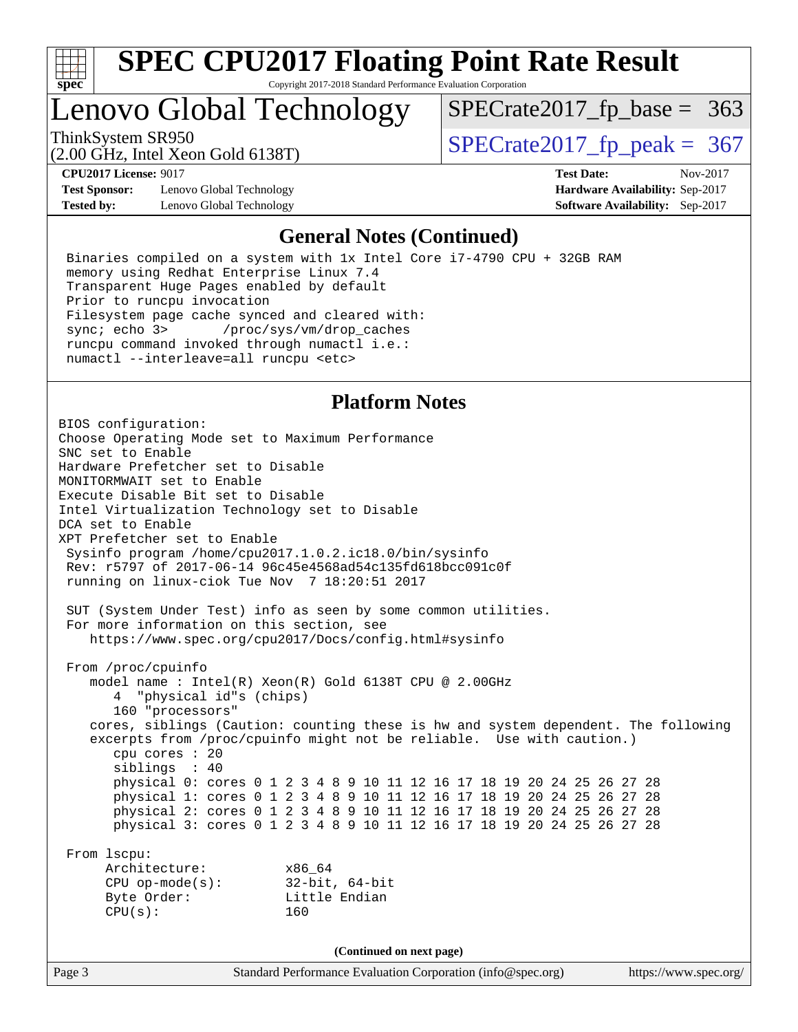

Copyright 2017-2018 Standard Performance Evaluation Corporation

### Lenovo Global Technology

ThinkSystem SR950<br>(2.00 GHz, Intel Xeon Gold 6138T)  $SPECTate2017$  [p\_peak = 367

 $SPECTate2017_fp\_base = 363$ 

(2.00 GHz, Intel Xeon Gold 6138T)

**[Test Sponsor:](http://www.spec.org/auto/cpu2017/Docs/result-fields.html#TestSponsor)** Lenovo Global Technology **[Hardware Availability:](http://www.spec.org/auto/cpu2017/Docs/result-fields.html#HardwareAvailability)** Sep-2017 **[Tested by:](http://www.spec.org/auto/cpu2017/Docs/result-fields.html#Testedby)** Lenovo Global Technology **[Software Availability:](http://www.spec.org/auto/cpu2017/Docs/result-fields.html#SoftwareAvailability)** Sep-2017

**[CPU2017 License:](http://www.spec.org/auto/cpu2017/Docs/result-fields.html#CPU2017License)** 9017 **[Test Date:](http://www.spec.org/auto/cpu2017/Docs/result-fields.html#TestDate)** Nov-2017

#### **[General Notes \(Continued\)](http://www.spec.org/auto/cpu2017/Docs/result-fields.html#GeneralNotes)**

 Binaries compiled on a system with 1x Intel Core i7-4790 CPU + 32GB RAM memory using Redhat Enterprise Linux 7.4 Transparent Huge Pages enabled by default Prior to runcpu invocation Filesystem page cache synced and cleared with: sync; echo 3> /proc/sys/vm/drop\_caches runcpu command invoked through numactl i.e.: numactl --interleave=all runcpu <etc>

#### **[Platform Notes](http://www.spec.org/auto/cpu2017/Docs/result-fields.html#PlatformNotes)**

Page 3 Standard Performance Evaluation Corporation [\(info@spec.org\)](mailto:info@spec.org) <https://www.spec.org/> BIOS configuration: Choose Operating Mode set to Maximum Performance SNC set to Enable Hardware Prefetcher set to Disable MONITORMWAIT set to Enable Execute Disable Bit set to Disable Intel Virtualization Technology set to Disable DCA set to Enable XPT Prefetcher set to Enable Sysinfo program /home/cpu2017.1.0.2.ic18.0/bin/sysinfo Rev: r5797 of 2017-06-14 96c45e4568ad54c135fd618bcc091c0f running on linux-ciok Tue Nov 7 18:20:51 2017 SUT (System Under Test) info as seen by some common utilities. For more information on this section, see <https://www.spec.org/cpu2017/Docs/config.html#sysinfo> From /proc/cpuinfo model name : Intel(R) Xeon(R) Gold 6138T CPU @ 2.00GHz 4 "physical id"s (chips) 160 "processors" cores, siblings (Caution: counting these is hw and system dependent. The following excerpts from /proc/cpuinfo might not be reliable. Use with caution.) cpu cores : 20 siblings : 40 physical 0: cores 0 1 2 3 4 8 9 10 11 12 16 17 18 19 20 24 25 26 27 28 physical 1: cores 0 1 2 3 4 8 9 10 11 12 16 17 18 19 20 24 25 26 27 28 physical 2: cores 0 1 2 3 4 8 9 10 11 12 16 17 18 19 20 24 25 26 27 28 physical 3: cores 0 1 2 3 4 8 9 10 11 12 16 17 18 19 20 24 25 26 27 28 From lscpu: Architecture: x86\_64 CPU op-mode(s): 32-bit, 64-bit Byte Order: Little Endian CPU(s): 160 **(Continued on next page)**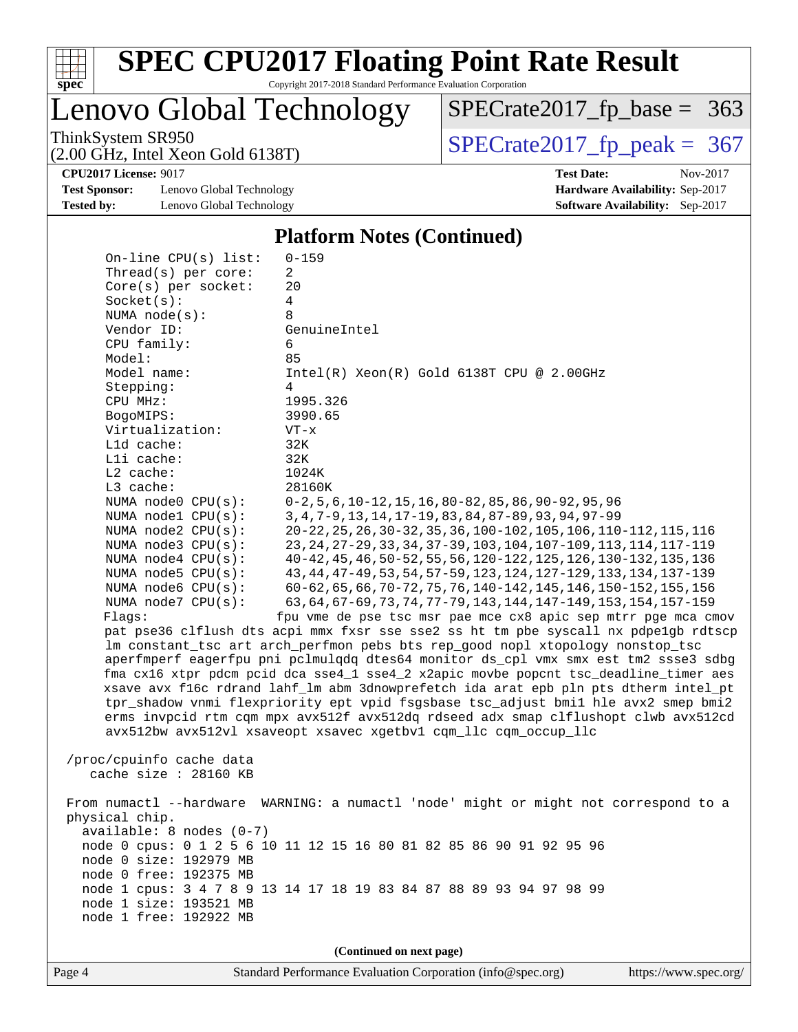

Copyright 2017-2018 Standard Performance Evaluation Corporation

Lenovo Global Technology

ThinkSystem SR950<br>  $\overline{SPECrate2017\_fp\_peak} = 367$ [SPECrate2017\\_fp\\_base =](http://www.spec.org/auto/cpu2017/Docs/result-fields.html#SPECrate2017fpbase) 363

(2.00 GHz, Intel Xeon Gold 6138T)

**[Test Sponsor:](http://www.spec.org/auto/cpu2017/Docs/result-fields.html#TestSponsor)** Lenovo Global Technology **[Hardware Availability:](http://www.spec.org/auto/cpu2017/Docs/result-fields.html#HardwareAvailability)** Sep-2017 **[Tested by:](http://www.spec.org/auto/cpu2017/Docs/result-fields.html#Testedby)** Lenovo Global Technology **[Software Availability:](http://www.spec.org/auto/cpu2017/Docs/result-fields.html#SoftwareAvailability)** Sep-2017

**[CPU2017 License:](http://www.spec.org/auto/cpu2017/Docs/result-fields.html#CPU2017License)** 9017 **[Test Date:](http://www.spec.org/auto/cpu2017/Docs/result-fields.html#TestDate)** Nov-2017

#### **[Platform Notes \(Continued\)](http://www.spec.org/auto/cpu2017/Docs/result-fields.html#PlatformNotes)**

| On-line $CPU(s)$ list:                       | $0 - 159$                                                                                                                                |
|----------------------------------------------|------------------------------------------------------------------------------------------------------------------------------------------|
| Thread(s) per core:                          | 2                                                                                                                                        |
| $Core(s)$ per socket:                        | 20                                                                                                                                       |
| Socket(s):                                   | 4                                                                                                                                        |
| NUMA node(s):                                | 8                                                                                                                                        |
| Vendor ID:                                   | GenuineIntel                                                                                                                             |
| CPU family:                                  | 6                                                                                                                                        |
| Model:                                       | 85                                                                                                                                       |
| Model name:                                  | $Intel(R) Xeon(R) Gold 6138T CPU @ 2.00GHz$                                                                                              |
| Stepping:                                    | 4                                                                                                                                        |
| CPU MHz:                                     | 1995.326                                                                                                                                 |
| BogoMIPS:                                    | 3990.65                                                                                                                                  |
| Virtualization:                              | $VT - x$                                                                                                                                 |
| L1d cache:                                   | 32K                                                                                                                                      |
| Lli cache:                                   | 32K                                                                                                                                      |
| $L2$ cache:                                  | 1024K                                                                                                                                    |
| L3 cache:                                    | 28160K                                                                                                                                   |
| NUMA node0 CPU(s):                           | $0-2, 5, 6, 10-12, 15, 16, 80-82, 85, 86, 90-92, 95, 96$                                                                                 |
| NUMA nodel CPU(s):                           | 3, 4, 7-9, 13, 14, 17-19, 83, 84, 87-89, 93, 94, 97-99                                                                                   |
| NUMA node2 CPU(s):                           | 20-22, 25, 26, 30-32, 35, 36, 100-102, 105, 106, 110-112, 115, 116<br>23, 24, 27-29, 33, 34, 37-39, 103, 104, 107-109, 113, 114, 117-119 |
| NUMA node3 CPU(s):<br>NUMA $node4$ $CPU(s):$ | 40-42, 45, 46, 50-52, 55, 56, 120-122, 125, 126, 130-132, 135, 136                                                                       |
| NUMA $node5$ $CPU(s):$                       | 43, 44, 47-49, 53, 54, 57-59, 123, 124, 127-129, 133, 134, 137-139                                                                       |
| NUMA node6 CPU(s):                           | 60-62, 65, 66, 70-72, 75, 76, 140-142, 145, 146, 150-152, 155, 156                                                                       |
| NUMA $node7$ CPU $(s)$ :                     | 63, 64, 67-69, 73, 74, 77-79, 143, 144, 147-149, 153, 154, 157-159                                                                       |
| Flaqs:                                       | fpu vme de pse tsc msr pae mce cx8 apic sep mtrr pge mca cmov                                                                            |
|                                              | pat pse36 clflush dts acpi mmx fxsr sse sse2 ss ht tm pbe syscall nx pdpelgb rdtscp                                                      |
|                                              | lm constant_tsc art arch_perfmon pebs bts rep_good nopl xtopology nonstop_tsc                                                            |
|                                              | aperfmperf eagerfpu pni pclmulqdq dtes64 monitor ds_cpl vmx smx est tm2 ssse3 sdbg                                                       |
|                                              | fma cx16 xtpr pdcm pcid dca sse4_1 sse4_2 x2apic movbe popcnt tsc_deadline_timer aes                                                     |
|                                              | xsave avx f16c rdrand lahf_lm abm 3dnowprefetch ida arat epb pln pts dtherm intel_pt                                                     |
|                                              | tpr_shadow vnmi flexpriority ept vpid fsgsbase tsc_adjust bmil hle avx2 smep bmi2                                                        |
|                                              | erms invpcid rtm cqm mpx avx512f avx512dq rdseed adx smap clflushopt clwb avx512cd                                                       |
|                                              | avx512bw avx512vl xsaveopt xsavec xgetbvl cqm_llc cqm_occup_llc                                                                          |
|                                              |                                                                                                                                          |
| /proc/cpuinfo cache data                     |                                                                                                                                          |
| cache size : 28160 KB                        |                                                                                                                                          |
|                                              |                                                                                                                                          |
|                                              | From numactl --hardware WARNING: a numactl 'node' might or might not correspond to a                                                     |
| physical chip.                               |                                                                                                                                          |
| available: 8 nodes (0-7)                     |                                                                                                                                          |
|                                              | node 0 cpus: 0 1 2 5 6 10 11 12 15 16 80 81 82 85 86 90 91 92 95 96                                                                      |
| node 0 size: 192979 MB                       |                                                                                                                                          |
| node 0 free: 192375 MB                       |                                                                                                                                          |
|                                              | node 1 cpus: 3 4 7 8 9 13 14 17 18 19 83 84 87 88 89 93 94 97 98 99                                                                      |
| node 1 size: 193521 MB                       |                                                                                                                                          |
| node 1 free: 192922 MB                       |                                                                                                                                          |
|                                              |                                                                                                                                          |
|                                              | (Continued on next page)                                                                                                                 |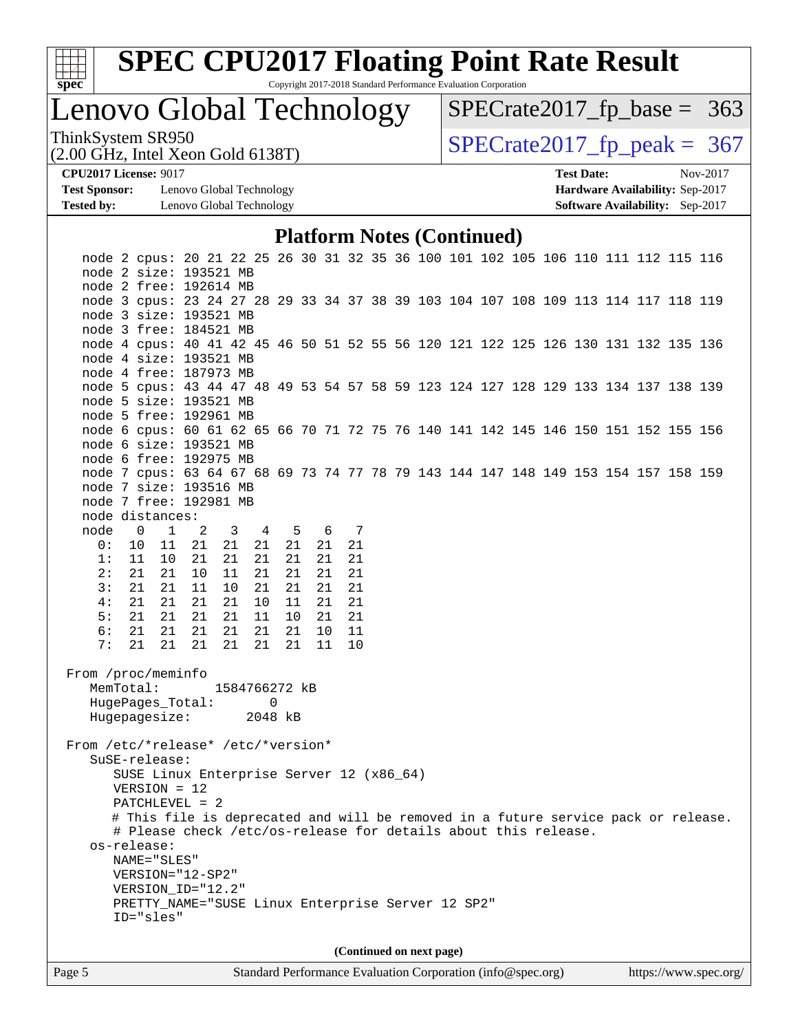

Copyright 2017-2018 Standard Performance Evaluation Corporation

Lenovo Global Technology

ThinkSystem SR950<br>(2.00 GHz, Intel Xeon Gold 6138T)  $SPECTate2017$  [p\_peak = 367  $SPECTate2017_fp\_base = 363$ 

(2.00 GHz, Intel Xeon Gold 6138T)

**[Test Sponsor:](http://www.spec.org/auto/cpu2017/Docs/result-fields.html#TestSponsor)** Lenovo Global Technology **[Hardware Availability:](http://www.spec.org/auto/cpu2017/Docs/result-fields.html#HardwareAvailability)** Sep-2017 **[Tested by:](http://www.spec.org/auto/cpu2017/Docs/result-fields.html#Testedby)** Lenovo Global Technology **[Software Availability:](http://www.spec.org/auto/cpu2017/Docs/result-fields.html#SoftwareAvailability)** Sep-2017

**[CPU2017 License:](http://www.spec.org/auto/cpu2017/Docs/result-fields.html#CPU2017License)** 9017 **[Test Date:](http://www.spec.org/auto/cpu2017/Docs/result-fields.html#TestDate)** Nov-2017

#### **[Platform Notes \(Continued\)](http://www.spec.org/auto/cpu2017/Docs/result-fields.html#PlatformNotes)**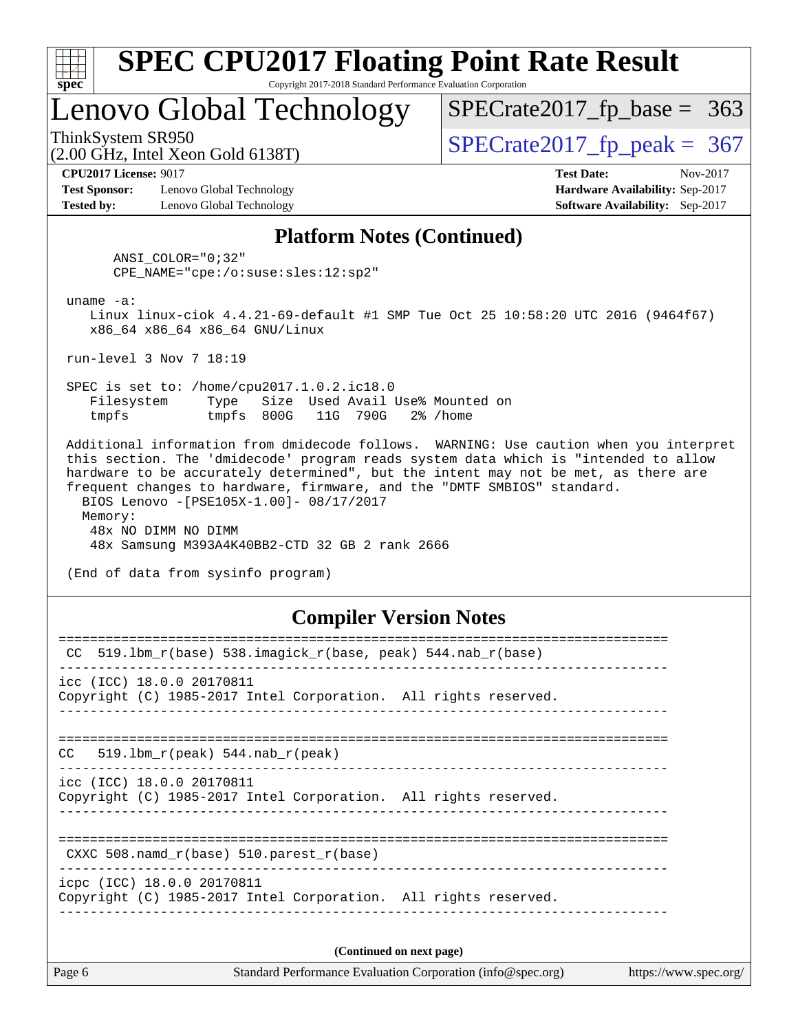| SI<br>ne |  |  |  |  |  |  |
|----------|--|--|--|--|--|--|

Copyright 2017-2018 Standard Performance Evaluation Corporation

### Lenovo Global Technology

ThinkSystem SR950<br>(2.00 GHz, Intel Xeon Gold 6138T)  $SPECTate2017$  [p\_peak = 367

 $SPECTate2017_fp\_base = 363$ 

(2.00 GHz, Intel Xeon Gold 6138T)

**[Test Sponsor:](http://www.spec.org/auto/cpu2017/Docs/result-fields.html#TestSponsor)** Lenovo Global Technology **[Hardware Availability:](http://www.spec.org/auto/cpu2017/Docs/result-fields.html#HardwareAvailability)** Sep-2017 **[Tested by:](http://www.spec.org/auto/cpu2017/Docs/result-fields.html#Testedby)** Lenovo Global Technology **[Software Availability:](http://www.spec.org/auto/cpu2017/Docs/result-fields.html#SoftwareAvailability)** Sep-2017

**[CPU2017 License:](http://www.spec.org/auto/cpu2017/Docs/result-fields.html#CPU2017License)** 9017 **[Test Date:](http://www.spec.org/auto/cpu2017/Docs/result-fields.html#TestDate)** Nov-2017

#### **[Platform Notes \(Continued\)](http://www.spec.org/auto/cpu2017/Docs/result-fields.html#PlatformNotes)**

 ANSI\_COLOR="0;32" CPE\_NAME="cpe:/o:suse:sles:12:sp2"

uname -a:

 Linux linux-ciok 4.4.21-69-default #1 SMP Tue Oct 25 10:58:20 UTC 2016 (9464f67) x86\_64 x86\_64 x86\_64 GNU/Linux

run-level 3 Nov 7 18:19

 SPEC is set to: /home/cpu2017.1.0.2.ic18.0 Filesystem Type Size Used Avail Use% Mounted on tmpfs tmpfs 800G 11G 790G 2% /home

 Additional information from dmidecode follows. WARNING: Use caution when you interpret this section. The 'dmidecode' program reads system data which is "intended to allow hardware to be accurately determined", but the intent may not be met, as there are frequent changes to hardware, firmware, and the "DMTF SMBIOS" standard. BIOS Lenovo -[PSE105X-1.00]- 08/17/2017 Memory: 48x NO DIMM NO DIMM 48x Samsung M393A4K40BB2-CTD 32 GB 2 rank 2666

(End of data from sysinfo program)

#### **[Compiler Version Notes](http://www.spec.org/auto/cpu2017/Docs/result-fields.html#CompilerVersionNotes)**

| CC $519.1$ bm $r(base)$ 538.imagick $r(base$ , peak) 544.nab $r(base)$                        |  |  |  |  |  |  |  |
|-----------------------------------------------------------------------------------------------|--|--|--|--|--|--|--|
| icc (ICC) 18.0.0 20170811<br>Copyright (C) 1985-2017 Intel Corporation. All rights reserved.  |  |  |  |  |  |  |  |
| ==================================<br>$CC = 519.1bm_r(peak) 544.nab_r(peak)$                  |  |  |  |  |  |  |  |
| icc (ICC) 18.0.0 20170811<br>Copyright (C) 1985-2017 Intel Corporation. All rights reserved.  |  |  |  |  |  |  |  |
| CXXC 508. namd $r(base)$ 510. parest $r(base)$                                                |  |  |  |  |  |  |  |
| icpc (ICC) 18.0.0 20170811<br>Copyright (C) 1985-2017 Intel Corporation. All rights reserved. |  |  |  |  |  |  |  |
| (Continued on next page)                                                                      |  |  |  |  |  |  |  |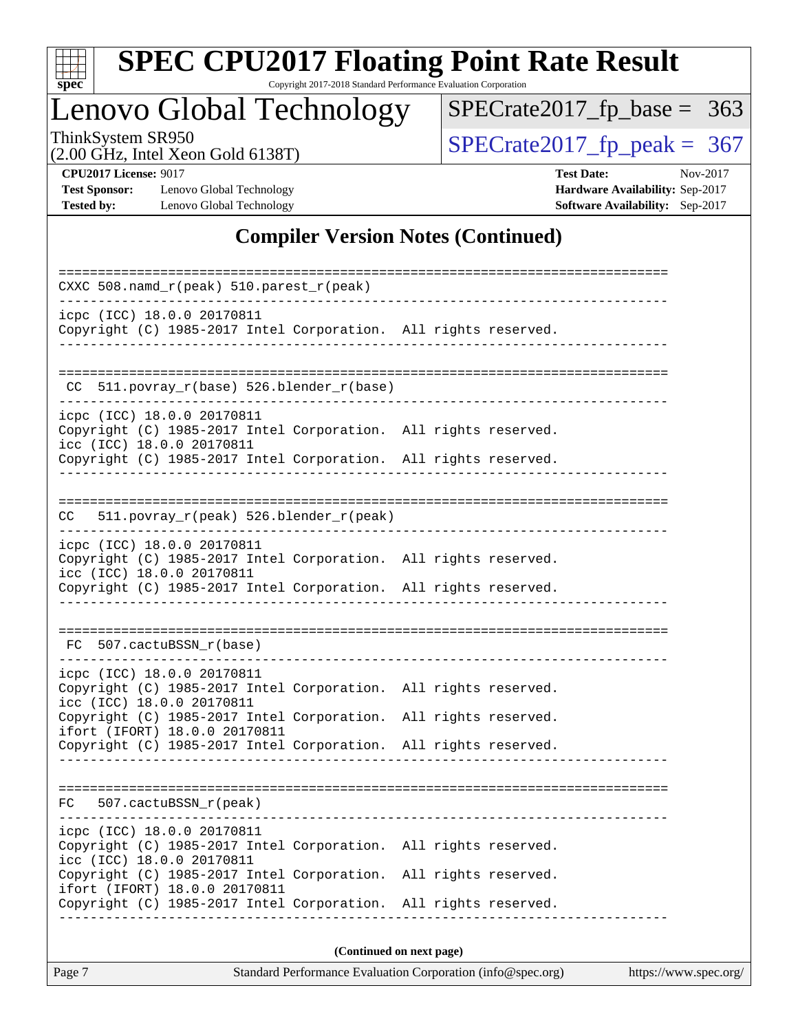

Copyright 2017-2018 Standard Performance Evaluation Corporation

### Lenovo Global Technology

ThinkSystem SR950<br>  $(2.00 \text{ GHz})$  Intel Xeon Gold 6138T)

[SPECrate2017\\_fp\\_base =](http://www.spec.org/auto/cpu2017/Docs/result-fields.html#SPECrate2017fpbase) 363

(2.00 GHz, Intel Xeon Gold 6138T)

**[CPU2017 License:](http://www.spec.org/auto/cpu2017/Docs/result-fields.html#CPU2017License)** 9017 **[Test Date:](http://www.spec.org/auto/cpu2017/Docs/result-fields.html#TestDate)** Nov-2017 **[Test Sponsor:](http://www.spec.org/auto/cpu2017/Docs/result-fields.html#TestSponsor)** Lenovo Global Technology **[Hardware Availability:](http://www.spec.org/auto/cpu2017/Docs/result-fields.html#HardwareAvailability)** Sep-2017 **[Tested by:](http://www.spec.org/auto/cpu2017/Docs/result-fields.html#Testedby)** Lenovo Global Technology **[Software Availability:](http://www.spec.org/auto/cpu2017/Docs/result-fields.html#SoftwareAvailability)** Sep-2017

#### **[Compiler Version Notes \(Continued\)](http://www.spec.org/auto/cpu2017/Docs/result-fields.html#CompilerVersionNotes)**

| CXXC 508.namd_r(peak) 510.parest_r(peak)                                                                                   |  |                          |  |  |  |
|----------------------------------------------------------------------------------------------------------------------------|--|--------------------------|--|--|--|
| icpc (ICC) 18.0.0 20170811<br>Copyright (C) 1985-2017 Intel Corporation. All rights reserved.                              |  |                          |  |  |  |
|                                                                                                                            |  |                          |  |  |  |
| CC 511.povray_r(base) 526.blender_r(base)                                                                                  |  |                          |  |  |  |
| icpc (ICC) 18.0.0 20170811<br>Copyright (C) 1985-2017 Intel Corporation. All rights reserved.<br>icc (ICC) 18.0.0 20170811 |  |                          |  |  |  |
| Copyright (C) 1985-2017 Intel Corporation. All rights reserved.                                                            |  |                          |  |  |  |
|                                                                                                                            |  |                          |  |  |  |
| 511.povray_r(peak) 526.blender_r(peak)<br>CC.                                                                              |  |                          |  |  |  |
| icpc (ICC) 18.0.0 20170811<br>Copyright (C) 1985-2017 Intel Corporation. All rights reserved.<br>icc (ICC) 18.0.0 20170811 |  |                          |  |  |  |
| Copyright (C) 1985-2017 Intel Corporation. All rights reserved.                                                            |  |                          |  |  |  |
| FC 507.cactuBSSN r(base)                                                                                                   |  |                          |  |  |  |
| icpc (ICC) 18.0.0 20170811<br>Copyright (C) 1985-2017 Intel Corporation. All rights reserved.<br>icc (ICC) 18.0.0 20170811 |  |                          |  |  |  |
| Copyright (C) 1985-2017 Intel Corporation. All rights reserved.<br>ifort (IFORT) 18.0.0 20170811                           |  |                          |  |  |  |
| Copyright (C) 1985-2017 Intel Corporation. All rights reserved.                                                            |  |                          |  |  |  |
|                                                                                                                            |  |                          |  |  |  |
| 507.cactuBSSN_r(peak)<br>FC                                                                                                |  |                          |  |  |  |
| icpc (ICC) 18.0.0 20170811<br>Copyright (C) 1985-2017 Intel Corporation.<br>icc (ICC) 18.0.0 20170811                      |  | All rights reserved.     |  |  |  |
| Copyright (C) 1985-2017 Intel Corporation.<br>ifort (IFORT) 18.0.0 20170811                                                |  | All rights reserved.     |  |  |  |
| Copyright (C) 1985-2017 Intel Corporation. All rights reserved.                                                            |  |                          |  |  |  |
|                                                                                                                            |  | (Continued on next page) |  |  |  |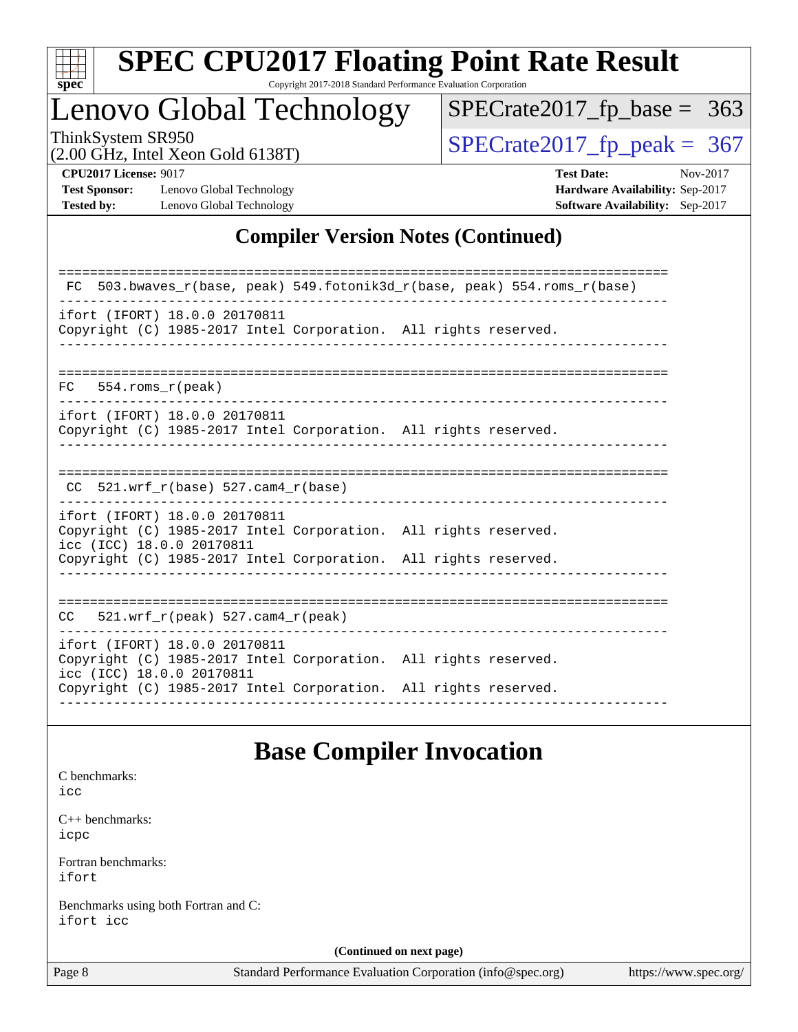

Copyright 2017-2018 Standard Performance Evaluation Corporation

### Lenovo Global Technology

ThinkSystem SR950<br>  $(2.00 \text{ GHz})$  Intel Xeon Gold 6138T)

[SPECrate2017\\_fp\\_base =](http://www.spec.org/auto/cpu2017/Docs/result-fields.html#SPECrate2017fpbase) 363

(2.00 GHz, Intel Xeon Gold 6138T)

**[CPU2017 License:](http://www.spec.org/auto/cpu2017/Docs/result-fields.html#CPU2017License)** 9017 **[Test Date:](http://www.spec.org/auto/cpu2017/Docs/result-fields.html#TestDate)** Nov-2017 **[Test Sponsor:](http://www.spec.org/auto/cpu2017/Docs/result-fields.html#TestSponsor)** Lenovo Global Technology **[Hardware Availability:](http://www.spec.org/auto/cpu2017/Docs/result-fields.html#HardwareAvailability)** Sep-2017 **[Tested by:](http://www.spec.org/auto/cpu2017/Docs/result-fields.html#Testedby)** Lenovo Global Technology **[Software Availability:](http://www.spec.org/auto/cpu2017/Docs/result-fields.html#SoftwareAvailability)** Sep-2017

#### **[Compiler Version Notes \(Continued\)](http://www.spec.org/auto/cpu2017/Docs/result-fields.html#CompilerVersionNotes)**

#### **[Base Compiler Invocation](http://www.spec.org/auto/cpu2017/Docs/result-fields.html#BaseCompilerInvocation)**

|                                                   | Dase Complier mivocation                                    |                       |
|---------------------------------------------------|-------------------------------------------------------------|-----------------------|
| C benchmarks:<br>icc                              |                                                             |                       |
| $C_{++}$ benchmarks:<br>icpc                      |                                                             |                       |
| Fortran benchmarks:<br>ifort                      |                                                             |                       |
| Benchmarks using both Fortran and C:<br>ifort icc |                                                             |                       |
|                                                   | (Continued on next page)                                    |                       |
| Page 8                                            | Standard Performance Evaluation Corporation (info@spec.org) | https://www.spec.org/ |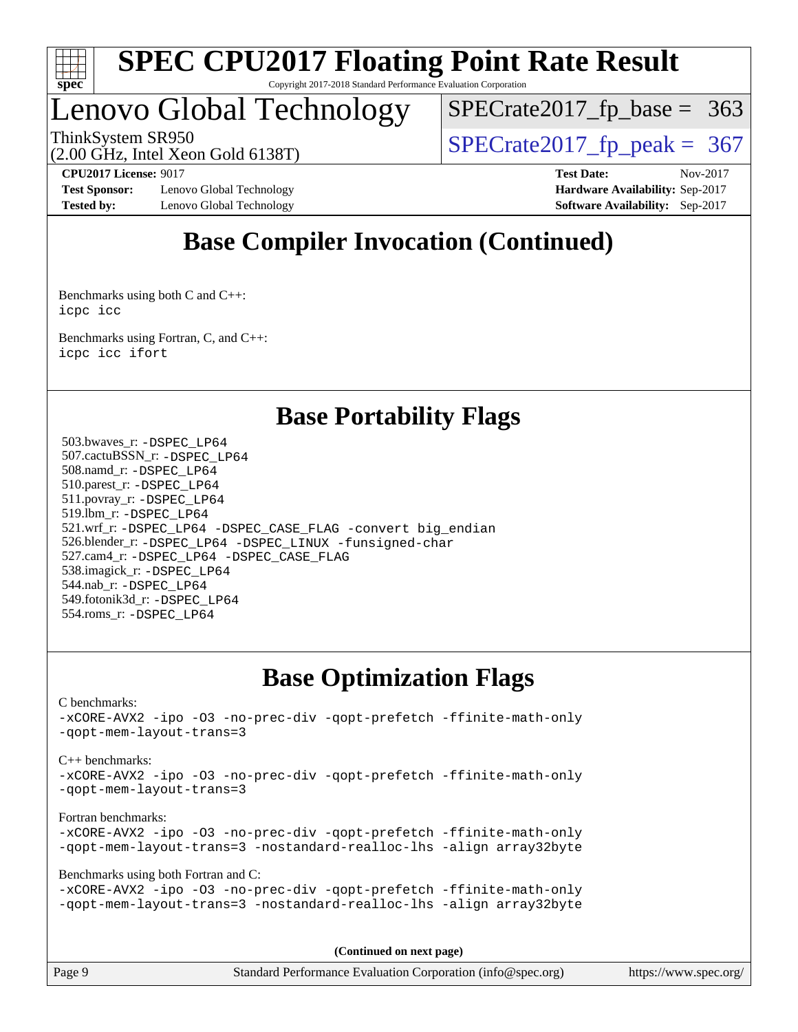

### Lenovo Global Technology

 $SPECTate2017_fp\_base = 363$ 

(2.00 GHz, Intel Xeon Gold 6138T)

ThinkSystem SR950<br>(2.00 GHz, Intel Xeon Gold 6138T)  $SPECTate2017$  [p\_peak = 367

**[Test Sponsor:](http://www.spec.org/auto/cpu2017/Docs/result-fields.html#TestSponsor)** Lenovo Global Technology **[Hardware Availability:](http://www.spec.org/auto/cpu2017/Docs/result-fields.html#HardwareAvailability)** Sep-2017 **[Tested by:](http://www.spec.org/auto/cpu2017/Docs/result-fields.html#Testedby)** Lenovo Global Technology **[Software Availability:](http://www.spec.org/auto/cpu2017/Docs/result-fields.html#SoftwareAvailability)** Sep-2017

**[CPU2017 License:](http://www.spec.org/auto/cpu2017/Docs/result-fields.html#CPU2017License)** 9017 **[Test Date:](http://www.spec.org/auto/cpu2017/Docs/result-fields.html#TestDate)** Nov-2017

### **[Base Compiler Invocation \(Continued\)](http://www.spec.org/auto/cpu2017/Docs/result-fields.html#BaseCompilerInvocation)**

[Benchmarks using both C and C++](http://www.spec.org/auto/cpu2017/Docs/result-fields.html#BenchmarksusingbothCandCXX): [icpc](http://www.spec.org/cpu2017/results/res2017q4/cpu2017-20171128-01267.flags.html#user_CC_CXXbase_intel_icpc_18.0_c510b6838c7f56d33e37e94d029a35b4a7bccf4766a728ee175e80a419847e808290a9b78be685c44ab727ea267ec2f070ec5dc83b407c0218cded6866a35d07) [icc](http://www.spec.org/cpu2017/results/res2017q4/cpu2017-20171128-01267.flags.html#user_CC_CXXbase_intel_icc_18.0_66fc1ee009f7361af1fbd72ca7dcefbb700085f36577c54f309893dd4ec40d12360134090235512931783d35fd58c0460139e722d5067c5574d8eaf2b3e37e92)

[Benchmarks using Fortran, C, and C++:](http://www.spec.org/auto/cpu2017/Docs/result-fields.html#BenchmarksusingFortranCandCXX) [icpc](http://www.spec.org/cpu2017/results/res2017q4/cpu2017-20171128-01267.flags.html#user_CC_CXX_FCbase_intel_icpc_18.0_c510b6838c7f56d33e37e94d029a35b4a7bccf4766a728ee175e80a419847e808290a9b78be685c44ab727ea267ec2f070ec5dc83b407c0218cded6866a35d07) [icc](http://www.spec.org/cpu2017/results/res2017q4/cpu2017-20171128-01267.flags.html#user_CC_CXX_FCbase_intel_icc_18.0_66fc1ee009f7361af1fbd72ca7dcefbb700085f36577c54f309893dd4ec40d12360134090235512931783d35fd58c0460139e722d5067c5574d8eaf2b3e37e92) [ifort](http://www.spec.org/cpu2017/results/res2017q4/cpu2017-20171128-01267.flags.html#user_CC_CXX_FCbase_intel_ifort_18.0_8111460550e3ca792625aed983ce982f94888b8b503583aa7ba2b8303487b4d8a21a13e7191a45c5fd58ff318f48f9492884d4413fa793fd88dd292cad7027ca)

### **[Base Portability Flags](http://www.spec.org/auto/cpu2017/Docs/result-fields.html#BasePortabilityFlags)**

 503.bwaves\_r: [-DSPEC\\_LP64](http://www.spec.org/cpu2017/results/res2017q4/cpu2017-20171128-01267.flags.html#suite_basePORTABILITY503_bwaves_r_DSPEC_LP64) 507.cactuBSSN\_r: [-DSPEC\\_LP64](http://www.spec.org/cpu2017/results/res2017q4/cpu2017-20171128-01267.flags.html#suite_basePORTABILITY507_cactuBSSN_r_DSPEC_LP64) 508.namd\_r: [-DSPEC\\_LP64](http://www.spec.org/cpu2017/results/res2017q4/cpu2017-20171128-01267.flags.html#suite_basePORTABILITY508_namd_r_DSPEC_LP64) 510.parest\_r: [-DSPEC\\_LP64](http://www.spec.org/cpu2017/results/res2017q4/cpu2017-20171128-01267.flags.html#suite_basePORTABILITY510_parest_r_DSPEC_LP64) 511.povray\_r: [-DSPEC\\_LP64](http://www.spec.org/cpu2017/results/res2017q4/cpu2017-20171128-01267.flags.html#suite_basePORTABILITY511_povray_r_DSPEC_LP64) 519.lbm\_r: [-DSPEC\\_LP64](http://www.spec.org/cpu2017/results/res2017q4/cpu2017-20171128-01267.flags.html#suite_basePORTABILITY519_lbm_r_DSPEC_LP64) 521.wrf\_r: [-DSPEC\\_LP64](http://www.spec.org/cpu2017/results/res2017q4/cpu2017-20171128-01267.flags.html#suite_basePORTABILITY521_wrf_r_DSPEC_LP64) [-DSPEC\\_CASE\\_FLAG](http://www.spec.org/cpu2017/results/res2017q4/cpu2017-20171128-01267.flags.html#b521.wrf_r_baseCPORTABILITY_DSPEC_CASE_FLAG) [-convert big\\_endian](http://www.spec.org/cpu2017/results/res2017q4/cpu2017-20171128-01267.flags.html#user_baseFPORTABILITY521_wrf_r_convert_big_endian_c3194028bc08c63ac5d04de18c48ce6d347e4e562e8892b8bdbdc0214820426deb8554edfa529a3fb25a586e65a3d812c835984020483e7e73212c4d31a38223) 526.blender\_r: [-DSPEC\\_LP64](http://www.spec.org/cpu2017/results/res2017q4/cpu2017-20171128-01267.flags.html#suite_basePORTABILITY526_blender_r_DSPEC_LP64) [-DSPEC\\_LINUX](http://www.spec.org/cpu2017/results/res2017q4/cpu2017-20171128-01267.flags.html#b526.blender_r_baseCPORTABILITY_DSPEC_LINUX) [-funsigned-char](http://www.spec.org/cpu2017/results/res2017q4/cpu2017-20171128-01267.flags.html#user_baseCPORTABILITY526_blender_r_force_uchar_40c60f00ab013830e2dd6774aeded3ff59883ba5a1fc5fc14077f794d777847726e2a5858cbc7672e36e1b067e7e5c1d9a74f7176df07886a243d7cc18edfe67) 527.cam4\_r: [-DSPEC\\_LP64](http://www.spec.org/cpu2017/results/res2017q4/cpu2017-20171128-01267.flags.html#suite_basePORTABILITY527_cam4_r_DSPEC_LP64) [-DSPEC\\_CASE\\_FLAG](http://www.spec.org/cpu2017/results/res2017q4/cpu2017-20171128-01267.flags.html#b527.cam4_r_baseCPORTABILITY_DSPEC_CASE_FLAG) 538.imagick\_r: [-DSPEC\\_LP64](http://www.spec.org/cpu2017/results/res2017q4/cpu2017-20171128-01267.flags.html#suite_basePORTABILITY538_imagick_r_DSPEC_LP64) 544.nab\_r: [-DSPEC\\_LP64](http://www.spec.org/cpu2017/results/res2017q4/cpu2017-20171128-01267.flags.html#suite_basePORTABILITY544_nab_r_DSPEC_LP64) 549.fotonik3d\_r: [-DSPEC\\_LP64](http://www.spec.org/cpu2017/results/res2017q4/cpu2017-20171128-01267.flags.html#suite_basePORTABILITY549_fotonik3d_r_DSPEC_LP64) 554.roms\_r: [-DSPEC\\_LP64](http://www.spec.org/cpu2017/results/res2017q4/cpu2017-20171128-01267.flags.html#suite_basePORTABILITY554_roms_r_DSPEC_LP64)

### **[Base Optimization Flags](http://www.spec.org/auto/cpu2017/Docs/result-fields.html#BaseOptimizationFlags)**

[C benchmarks](http://www.spec.org/auto/cpu2017/Docs/result-fields.html#Cbenchmarks): [-xCORE-AVX2](http://www.spec.org/cpu2017/results/res2017q4/cpu2017-20171128-01267.flags.html#user_CCbase_f-xCORE-AVX2) [-ipo](http://www.spec.org/cpu2017/results/res2017q4/cpu2017-20171128-01267.flags.html#user_CCbase_f-ipo) [-O3](http://www.spec.org/cpu2017/results/res2017q4/cpu2017-20171128-01267.flags.html#user_CCbase_f-O3) [-no-prec-div](http://www.spec.org/cpu2017/results/res2017q4/cpu2017-20171128-01267.flags.html#user_CCbase_f-no-prec-div) [-qopt-prefetch](http://www.spec.org/cpu2017/results/res2017q4/cpu2017-20171128-01267.flags.html#user_CCbase_f-qopt-prefetch) [-ffinite-math-only](http://www.spec.org/cpu2017/results/res2017q4/cpu2017-20171128-01267.flags.html#user_CCbase_f_finite_math_only_cb91587bd2077682c4b38af759c288ed7c732db004271a9512da14a4f8007909a5f1427ecbf1a0fb78ff2a814402c6114ac565ca162485bbcae155b5e4258871) [-qopt-mem-layout-trans=3](http://www.spec.org/cpu2017/results/res2017q4/cpu2017-20171128-01267.flags.html#user_CCbase_f-qopt-mem-layout-trans_de80db37974c74b1f0e20d883f0b675c88c3b01e9d123adea9b28688d64333345fb62bc4a798493513fdb68f60282f9a726aa07f478b2f7113531aecce732043) [C++ benchmarks:](http://www.spec.org/auto/cpu2017/Docs/result-fields.html#CXXbenchmarks) [-xCORE-AVX2](http://www.spec.org/cpu2017/results/res2017q4/cpu2017-20171128-01267.flags.html#user_CXXbase_f-xCORE-AVX2) [-ipo](http://www.spec.org/cpu2017/results/res2017q4/cpu2017-20171128-01267.flags.html#user_CXXbase_f-ipo) [-O3](http://www.spec.org/cpu2017/results/res2017q4/cpu2017-20171128-01267.flags.html#user_CXXbase_f-O3) [-no-prec-div](http://www.spec.org/cpu2017/results/res2017q4/cpu2017-20171128-01267.flags.html#user_CXXbase_f-no-prec-div) [-qopt-prefetch](http://www.spec.org/cpu2017/results/res2017q4/cpu2017-20171128-01267.flags.html#user_CXXbase_f-qopt-prefetch) [-ffinite-math-only](http://www.spec.org/cpu2017/results/res2017q4/cpu2017-20171128-01267.flags.html#user_CXXbase_f_finite_math_only_cb91587bd2077682c4b38af759c288ed7c732db004271a9512da14a4f8007909a5f1427ecbf1a0fb78ff2a814402c6114ac565ca162485bbcae155b5e4258871) [-qopt-mem-layout-trans=3](http://www.spec.org/cpu2017/results/res2017q4/cpu2017-20171128-01267.flags.html#user_CXXbase_f-qopt-mem-layout-trans_de80db37974c74b1f0e20d883f0b675c88c3b01e9d123adea9b28688d64333345fb62bc4a798493513fdb68f60282f9a726aa07f478b2f7113531aecce732043) [Fortran benchmarks](http://www.spec.org/auto/cpu2017/Docs/result-fields.html#Fortranbenchmarks): [-xCORE-AVX2](http://www.spec.org/cpu2017/results/res2017q4/cpu2017-20171128-01267.flags.html#user_FCbase_f-xCORE-AVX2) [-ipo](http://www.spec.org/cpu2017/results/res2017q4/cpu2017-20171128-01267.flags.html#user_FCbase_f-ipo) [-O3](http://www.spec.org/cpu2017/results/res2017q4/cpu2017-20171128-01267.flags.html#user_FCbase_f-O3) [-no-prec-div](http://www.spec.org/cpu2017/results/res2017q4/cpu2017-20171128-01267.flags.html#user_FCbase_f-no-prec-div) [-qopt-prefetch](http://www.spec.org/cpu2017/results/res2017q4/cpu2017-20171128-01267.flags.html#user_FCbase_f-qopt-prefetch) [-ffinite-math-only](http://www.spec.org/cpu2017/results/res2017q4/cpu2017-20171128-01267.flags.html#user_FCbase_f_finite_math_only_cb91587bd2077682c4b38af759c288ed7c732db004271a9512da14a4f8007909a5f1427ecbf1a0fb78ff2a814402c6114ac565ca162485bbcae155b5e4258871) [-qopt-mem-layout-trans=3](http://www.spec.org/cpu2017/results/res2017q4/cpu2017-20171128-01267.flags.html#user_FCbase_f-qopt-mem-layout-trans_de80db37974c74b1f0e20d883f0b675c88c3b01e9d123adea9b28688d64333345fb62bc4a798493513fdb68f60282f9a726aa07f478b2f7113531aecce732043) [-nostandard-realloc-lhs](http://www.spec.org/cpu2017/results/res2017q4/cpu2017-20171128-01267.flags.html#user_FCbase_f_2003_std_realloc_82b4557e90729c0f113870c07e44d33d6f5a304b4f63d4c15d2d0f1fab99f5daaed73bdb9275d9ae411527f28b936061aa8b9c8f2d63842963b95c9dd6426b8a) [-align array32byte](http://www.spec.org/cpu2017/results/res2017q4/cpu2017-20171128-01267.flags.html#user_FCbase_align_array32byte_b982fe038af199962ba9a80c053b8342c548c85b40b8e86eb3cc33dee0d7986a4af373ac2d51c3f7cf710a18d62fdce2948f201cd044323541f22fc0fffc51b6) [Benchmarks using both Fortran and C](http://www.spec.org/auto/cpu2017/Docs/result-fields.html#BenchmarksusingbothFortranandC): [-xCORE-AVX2](http://www.spec.org/cpu2017/results/res2017q4/cpu2017-20171128-01267.flags.html#user_CC_FCbase_f-xCORE-AVX2) [-ipo](http://www.spec.org/cpu2017/results/res2017q4/cpu2017-20171128-01267.flags.html#user_CC_FCbase_f-ipo) [-O3](http://www.spec.org/cpu2017/results/res2017q4/cpu2017-20171128-01267.flags.html#user_CC_FCbase_f-O3) [-no-prec-div](http://www.spec.org/cpu2017/results/res2017q4/cpu2017-20171128-01267.flags.html#user_CC_FCbase_f-no-prec-div) [-qopt-prefetch](http://www.spec.org/cpu2017/results/res2017q4/cpu2017-20171128-01267.flags.html#user_CC_FCbase_f-qopt-prefetch) [-ffinite-math-only](http://www.spec.org/cpu2017/results/res2017q4/cpu2017-20171128-01267.flags.html#user_CC_FCbase_f_finite_math_only_cb91587bd2077682c4b38af759c288ed7c732db004271a9512da14a4f8007909a5f1427ecbf1a0fb78ff2a814402c6114ac565ca162485bbcae155b5e4258871) [-qopt-mem-layout-trans=3](http://www.spec.org/cpu2017/results/res2017q4/cpu2017-20171128-01267.flags.html#user_CC_FCbase_f-qopt-mem-layout-trans_de80db37974c74b1f0e20d883f0b675c88c3b01e9d123adea9b28688d64333345fb62bc4a798493513fdb68f60282f9a726aa07f478b2f7113531aecce732043) [-nostandard-realloc-lhs](http://www.spec.org/cpu2017/results/res2017q4/cpu2017-20171128-01267.flags.html#user_CC_FCbase_f_2003_std_realloc_82b4557e90729c0f113870c07e44d33d6f5a304b4f63d4c15d2d0f1fab99f5daaed73bdb9275d9ae411527f28b936061aa8b9c8f2d63842963b95c9dd6426b8a) [-align array32byte](http://www.spec.org/cpu2017/results/res2017q4/cpu2017-20171128-01267.flags.html#user_CC_FCbase_align_array32byte_b982fe038af199962ba9a80c053b8342c548c85b40b8e86eb3cc33dee0d7986a4af373ac2d51c3f7cf710a18d62fdce2948f201cd044323541f22fc0fffc51b6)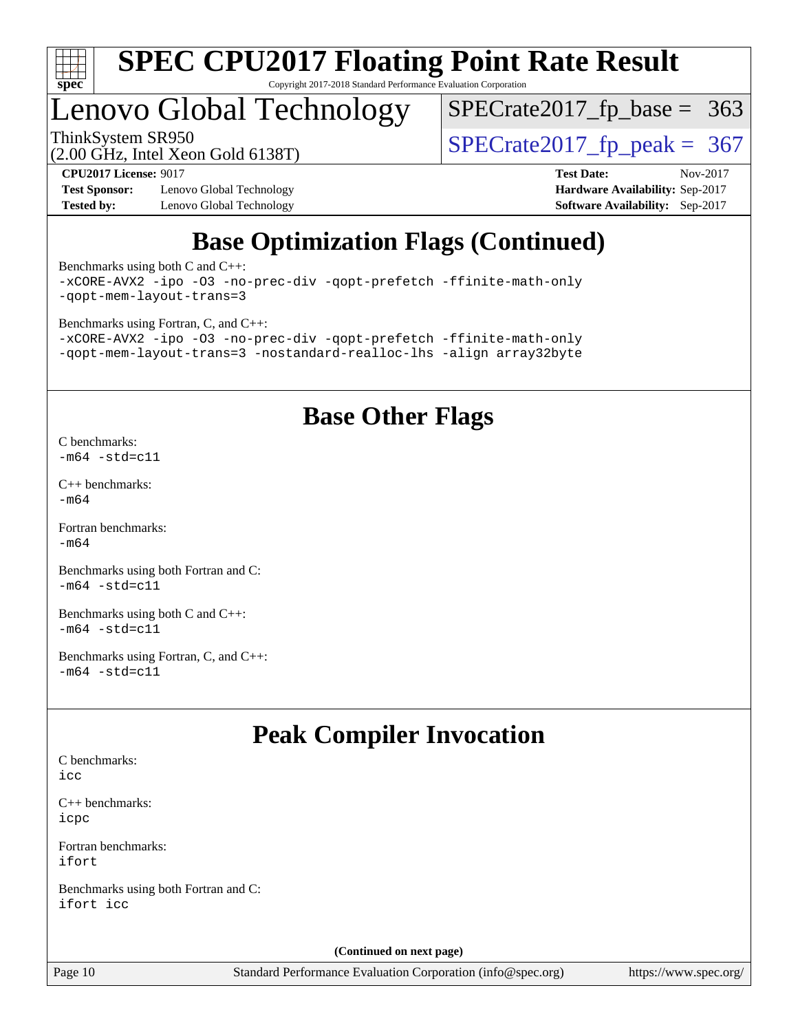

## Lenovo Global Technology

ThinkSystem SR950<br>(2.00 GHz, Intel Xeon Gold 6138T)  $SPECTate2017$  [p\_peak = 367

 $SPECTate2017_fp\_base = 363$ 

(2.00 GHz, Intel Xeon Gold 6138T)

**[Test Sponsor:](http://www.spec.org/auto/cpu2017/Docs/result-fields.html#TestSponsor)** Lenovo Global Technology **[Hardware Availability:](http://www.spec.org/auto/cpu2017/Docs/result-fields.html#HardwareAvailability)** Sep-2017 **[Tested by:](http://www.spec.org/auto/cpu2017/Docs/result-fields.html#Testedby)** Lenovo Global Technology **[Software Availability:](http://www.spec.org/auto/cpu2017/Docs/result-fields.html#SoftwareAvailability)** Sep-2017

**[CPU2017 License:](http://www.spec.org/auto/cpu2017/Docs/result-fields.html#CPU2017License)** 9017 **[Test Date:](http://www.spec.org/auto/cpu2017/Docs/result-fields.html#TestDate)** Nov-2017

### **[Base Optimization Flags \(Continued\)](http://www.spec.org/auto/cpu2017/Docs/result-fields.html#BaseOptimizationFlags)**

[Benchmarks using both C and C++](http://www.spec.org/auto/cpu2017/Docs/result-fields.html#BenchmarksusingbothCandCXX): [-xCORE-AVX2](http://www.spec.org/cpu2017/results/res2017q4/cpu2017-20171128-01267.flags.html#user_CC_CXXbase_f-xCORE-AVX2) [-ipo](http://www.spec.org/cpu2017/results/res2017q4/cpu2017-20171128-01267.flags.html#user_CC_CXXbase_f-ipo) [-O3](http://www.spec.org/cpu2017/results/res2017q4/cpu2017-20171128-01267.flags.html#user_CC_CXXbase_f-O3) [-no-prec-div](http://www.spec.org/cpu2017/results/res2017q4/cpu2017-20171128-01267.flags.html#user_CC_CXXbase_f-no-prec-div) [-qopt-prefetch](http://www.spec.org/cpu2017/results/res2017q4/cpu2017-20171128-01267.flags.html#user_CC_CXXbase_f-qopt-prefetch) [-ffinite-math-only](http://www.spec.org/cpu2017/results/res2017q4/cpu2017-20171128-01267.flags.html#user_CC_CXXbase_f_finite_math_only_cb91587bd2077682c4b38af759c288ed7c732db004271a9512da14a4f8007909a5f1427ecbf1a0fb78ff2a814402c6114ac565ca162485bbcae155b5e4258871) [-qopt-mem-layout-trans=3](http://www.spec.org/cpu2017/results/res2017q4/cpu2017-20171128-01267.flags.html#user_CC_CXXbase_f-qopt-mem-layout-trans_de80db37974c74b1f0e20d883f0b675c88c3b01e9d123adea9b28688d64333345fb62bc4a798493513fdb68f60282f9a726aa07f478b2f7113531aecce732043)

[Benchmarks using Fortran, C, and C++:](http://www.spec.org/auto/cpu2017/Docs/result-fields.html#BenchmarksusingFortranCandCXX) [-xCORE-AVX2](http://www.spec.org/cpu2017/results/res2017q4/cpu2017-20171128-01267.flags.html#user_CC_CXX_FCbase_f-xCORE-AVX2) [-ipo](http://www.spec.org/cpu2017/results/res2017q4/cpu2017-20171128-01267.flags.html#user_CC_CXX_FCbase_f-ipo) [-O3](http://www.spec.org/cpu2017/results/res2017q4/cpu2017-20171128-01267.flags.html#user_CC_CXX_FCbase_f-O3) [-no-prec-div](http://www.spec.org/cpu2017/results/res2017q4/cpu2017-20171128-01267.flags.html#user_CC_CXX_FCbase_f-no-prec-div) [-qopt-prefetch](http://www.spec.org/cpu2017/results/res2017q4/cpu2017-20171128-01267.flags.html#user_CC_CXX_FCbase_f-qopt-prefetch) [-ffinite-math-only](http://www.spec.org/cpu2017/results/res2017q4/cpu2017-20171128-01267.flags.html#user_CC_CXX_FCbase_f_finite_math_only_cb91587bd2077682c4b38af759c288ed7c732db004271a9512da14a4f8007909a5f1427ecbf1a0fb78ff2a814402c6114ac565ca162485bbcae155b5e4258871) [-qopt-mem-layout-trans=3](http://www.spec.org/cpu2017/results/res2017q4/cpu2017-20171128-01267.flags.html#user_CC_CXX_FCbase_f-qopt-mem-layout-trans_de80db37974c74b1f0e20d883f0b675c88c3b01e9d123adea9b28688d64333345fb62bc4a798493513fdb68f60282f9a726aa07f478b2f7113531aecce732043) [-nostandard-realloc-lhs](http://www.spec.org/cpu2017/results/res2017q4/cpu2017-20171128-01267.flags.html#user_CC_CXX_FCbase_f_2003_std_realloc_82b4557e90729c0f113870c07e44d33d6f5a304b4f63d4c15d2d0f1fab99f5daaed73bdb9275d9ae411527f28b936061aa8b9c8f2d63842963b95c9dd6426b8a) [-align array32byte](http://www.spec.org/cpu2017/results/res2017q4/cpu2017-20171128-01267.flags.html#user_CC_CXX_FCbase_align_array32byte_b982fe038af199962ba9a80c053b8342c548c85b40b8e86eb3cc33dee0d7986a4af373ac2d51c3f7cf710a18d62fdce2948f201cd044323541f22fc0fffc51b6)

### **[Base Other Flags](http://www.spec.org/auto/cpu2017/Docs/result-fields.html#BaseOtherFlags)**

[C benchmarks](http://www.spec.org/auto/cpu2017/Docs/result-fields.html#Cbenchmarks):  $-m64$   $-std=cl1$ 

[C++ benchmarks:](http://www.spec.org/auto/cpu2017/Docs/result-fields.html#CXXbenchmarks) [-m64](http://www.spec.org/cpu2017/results/res2017q4/cpu2017-20171128-01267.flags.html#user_CXXbase_intel_intel64_18.0_af43caccfc8ded86e7699f2159af6efc7655f51387b94da716254467f3c01020a5059329e2569e4053f409e7c9202a7efc638f7a6d1ffb3f52dea4a3e31d82ab)

[Fortran benchmarks](http://www.spec.org/auto/cpu2017/Docs/result-fields.html#Fortranbenchmarks): [-m64](http://www.spec.org/cpu2017/results/res2017q4/cpu2017-20171128-01267.flags.html#user_FCbase_intel_intel64_18.0_af43caccfc8ded86e7699f2159af6efc7655f51387b94da716254467f3c01020a5059329e2569e4053f409e7c9202a7efc638f7a6d1ffb3f52dea4a3e31d82ab)

[Benchmarks using both Fortran and C](http://www.spec.org/auto/cpu2017/Docs/result-fields.html#BenchmarksusingbothFortranandC):  $-m64 - std= c11$  $-m64 - std= c11$ 

[Benchmarks using both C and C++](http://www.spec.org/auto/cpu2017/Docs/result-fields.html#BenchmarksusingbothCandCXX):  $-m64 - std= c11$  $-m64 - std= c11$ 

[Benchmarks using Fortran, C, and C++:](http://www.spec.org/auto/cpu2017/Docs/result-fields.html#BenchmarksusingFortranCandCXX)  $-m64 - std= c11$  $-m64 - std= c11$ 

### **[Peak Compiler Invocation](http://www.spec.org/auto/cpu2017/Docs/result-fields.html#PeakCompilerInvocation)**

[C benchmarks](http://www.spec.org/auto/cpu2017/Docs/result-fields.html#Cbenchmarks): [icc](http://www.spec.org/cpu2017/results/res2017q4/cpu2017-20171128-01267.flags.html#user_CCpeak_intel_icc_18.0_66fc1ee009f7361af1fbd72ca7dcefbb700085f36577c54f309893dd4ec40d12360134090235512931783d35fd58c0460139e722d5067c5574d8eaf2b3e37e92)

[C++ benchmarks:](http://www.spec.org/auto/cpu2017/Docs/result-fields.html#CXXbenchmarks) [icpc](http://www.spec.org/cpu2017/results/res2017q4/cpu2017-20171128-01267.flags.html#user_CXXpeak_intel_icpc_18.0_c510b6838c7f56d33e37e94d029a35b4a7bccf4766a728ee175e80a419847e808290a9b78be685c44ab727ea267ec2f070ec5dc83b407c0218cded6866a35d07)

[Fortran benchmarks](http://www.spec.org/auto/cpu2017/Docs/result-fields.html#Fortranbenchmarks): [ifort](http://www.spec.org/cpu2017/results/res2017q4/cpu2017-20171128-01267.flags.html#user_FCpeak_intel_ifort_18.0_8111460550e3ca792625aed983ce982f94888b8b503583aa7ba2b8303487b4d8a21a13e7191a45c5fd58ff318f48f9492884d4413fa793fd88dd292cad7027ca)

[Benchmarks using both Fortran and C](http://www.spec.org/auto/cpu2017/Docs/result-fields.html#BenchmarksusingbothFortranandC): [ifort](http://www.spec.org/cpu2017/results/res2017q4/cpu2017-20171128-01267.flags.html#user_CC_FCpeak_intel_ifort_18.0_8111460550e3ca792625aed983ce982f94888b8b503583aa7ba2b8303487b4d8a21a13e7191a45c5fd58ff318f48f9492884d4413fa793fd88dd292cad7027ca) [icc](http://www.spec.org/cpu2017/results/res2017q4/cpu2017-20171128-01267.flags.html#user_CC_FCpeak_intel_icc_18.0_66fc1ee009f7361af1fbd72ca7dcefbb700085f36577c54f309893dd4ec40d12360134090235512931783d35fd58c0460139e722d5067c5574d8eaf2b3e37e92)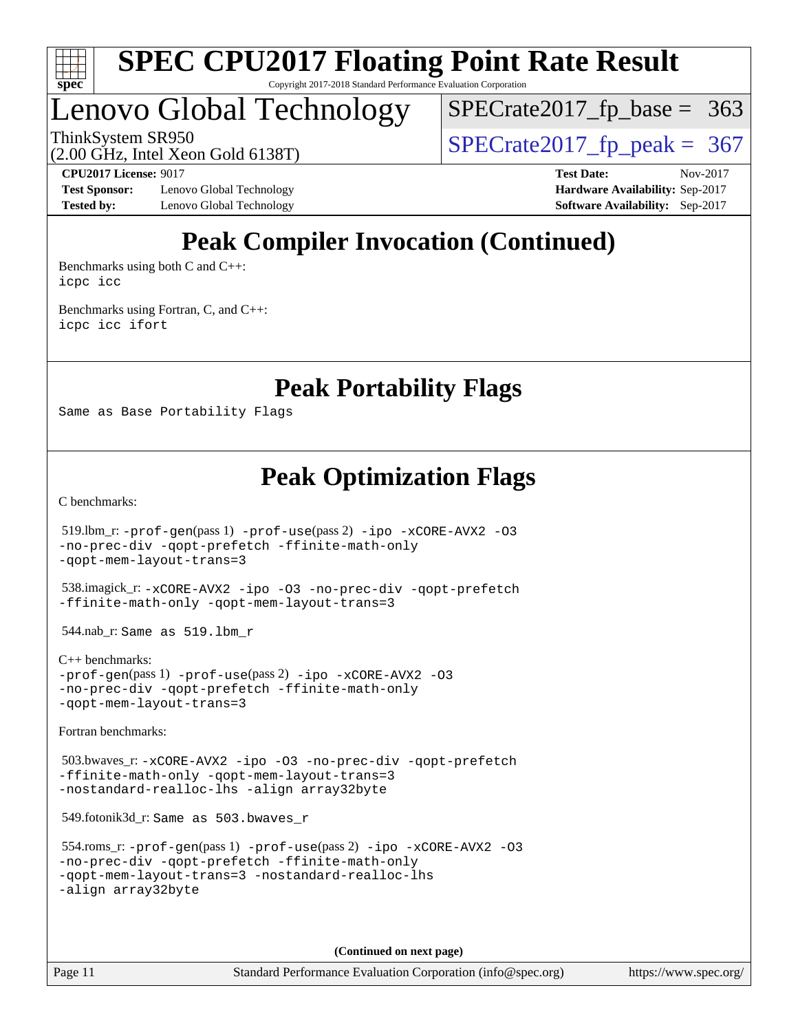

## Lenovo Global Technology

 $SPECTate2017_fp\_base = 363$ 

(2.00 GHz, Intel Xeon Gold 6138T)

ThinkSystem SR950<br>  $\frac{1}{200}$  [SPECrate2017\\_fp\\_peak =](http://www.spec.org/auto/cpu2017/Docs/result-fields.html#SPECrate2017fppeak) 367

**[Test Sponsor:](http://www.spec.org/auto/cpu2017/Docs/result-fields.html#TestSponsor)** Lenovo Global Technology **[Hardware Availability:](http://www.spec.org/auto/cpu2017/Docs/result-fields.html#HardwareAvailability)** Sep-2017 **[Tested by:](http://www.spec.org/auto/cpu2017/Docs/result-fields.html#Testedby)** Lenovo Global Technology **[Software Availability:](http://www.spec.org/auto/cpu2017/Docs/result-fields.html#SoftwareAvailability)** Sep-2017

**[CPU2017 License:](http://www.spec.org/auto/cpu2017/Docs/result-fields.html#CPU2017License)** 9017 **[Test Date:](http://www.spec.org/auto/cpu2017/Docs/result-fields.html#TestDate)** Nov-2017

### **[Peak Compiler Invocation \(Continued\)](http://www.spec.org/auto/cpu2017/Docs/result-fields.html#PeakCompilerInvocation)**

[Benchmarks using both C and C++](http://www.spec.org/auto/cpu2017/Docs/result-fields.html#BenchmarksusingbothCandCXX): [icpc](http://www.spec.org/cpu2017/results/res2017q4/cpu2017-20171128-01267.flags.html#user_CC_CXXpeak_intel_icpc_18.0_c510b6838c7f56d33e37e94d029a35b4a7bccf4766a728ee175e80a419847e808290a9b78be685c44ab727ea267ec2f070ec5dc83b407c0218cded6866a35d07) [icc](http://www.spec.org/cpu2017/results/res2017q4/cpu2017-20171128-01267.flags.html#user_CC_CXXpeak_intel_icc_18.0_66fc1ee009f7361af1fbd72ca7dcefbb700085f36577c54f309893dd4ec40d12360134090235512931783d35fd58c0460139e722d5067c5574d8eaf2b3e37e92)

[Benchmarks using Fortran, C, and C++:](http://www.spec.org/auto/cpu2017/Docs/result-fields.html#BenchmarksusingFortranCandCXX) [icpc](http://www.spec.org/cpu2017/results/res2017q4/cpu2017-20171128-01267.flags.html#user_CC_CXX_FCpeak_intel_icpc_18.0_c510b6838c7f56d33e37e94d029a35b4a7bccf4766a728ee175e80a419847e808290a9b78be685c44ab727ea267ec2f070ec5dc83b407c0218cded6866a35d07) [icc](http://www.spec.org/cpu2017/results/res2017q4/cpu2017-20171128-01267.flags.html#user_CC_CXX_FCpeak_intel_icc_18.0_66fc1ee009f7361af1fbd72ca7dcefbb700085f36577c54f309893dd4ec40d12360134090235512931783d35fd58c0460139e722d5067c5574d8eaf2b3e37e92) [ifort](http://www.spec.org/cpu2017/results/res2017q4/cpu2017-20171128-01267.flags.html#user_CC_CXX_FCpeak_intel_ifort_18.0_8111460550e3ca792625aed983ce982f94888b8b503583aa7ba2b8303487b4d8a21a13e7191a45c5fd58ff318f48f9492884d4413fa793fd88dd292cad7027ca)

**[Peak Portability Flags](http://www.spec.org/auto/cpu2017/Docs/result-fields.html#PeakPortabilityFlags)**

Same as Base Portability Flags

**[Peak Optimization Flags](http://www.spec.org/auto/cpu2017/Docs/result-fields.html#PeakOptimizationFlags)**

[C benchmarks](http://www.spec.org/auto/cpu2017/Docs/result-fields.html#Cbenchmarks):

 519.lbm\_r: [-prof-gen](http://www.spec.org/cpu2017/results/res2017q4/cpu2017-20171128-01267.flags.html#user_peakPASS1_CFLAGSPASS1_LDFLAGS519_lbm_r_prof_gen_5aa4926d6013ddb2a31985c654b3eb18169fc0c6952a63635c234f711e6e63dd76e94ad52365559451ec499a2cdb89e4dc58ba4c67ef54ca681ffbe1461d6b36)(pass 1) [-prof-use](http://www.spec.org/cpu2017/results/res2017q4/cpu2017-20171128-01267.flags.html#user_peakPASS2_CFLAGSPASS2_LDFLAGS519_lbm_r_prof_use_1a21ceae95f36a2b53c25747139a6c16ca95bd9def2a207b4f0849963b97e94f5260e30a0c64f4bb623698870e679ca08317ef8150905d41bd88c6f78df73f19)(pass 2) [-ipo](http://www.spec.org/cpu2017/results/res2017q4/cpu2017-20171128-01267.flags.html#user_peakPASS1_COPTIMIZEPASS2_COPTIMIZE519_lbm_r_f-ipo) [-xCORE-AVX2](http://www.spec.org/cpu2017/results/res2017q4/cpu2017-20171128-01267.flags.html#user_peakPASS2_COPTIMIZE519_lbm_r_f-xCORE-AVX2) [-O3](http://www.spec.org/cpu2017/results/res2017q4/cpu2017-20171128-01267.flags.html#user_peakPASS1_COPTIMIZEPASS2_COPTIMIZE519_lbm_r_f-O3) [-no-prec-div](http://www.spec.org/cpu2017/results/res2017q4/cpu2017-20171128-01267.flags.html#user_peakPASS1_COPTIMIZEPASS2_COPTIMIZE519_lbm_r_f-no-prec-div) [-qopt-prefetch](http://www.spec.org/cpu2017/results/res2017q4/cpu2017-20171128-01267.flags.html#user_peakPASS1_COPTIMIZEPASS2_COPTIMIZE519_lbm_r_f-qopt-prefetch) [-ffinite-math-only](http://www.spec.org/cpu2017/results/res2017q4/cpu2017-20171128-01267.flags.html#user_peakPASS1_COPTIMIZEPASS2_COPTIMIZE519_lbm_r_f_finite_math_only_cb91587bd2077682c4b38af759c288ed7c732db004271a9512da14a4f8007909a5f1427ecbf1a0fb78ff2a814402c6114ac565ca162485bbcae155b5e4258871) [-qopt-mem-layout-trans=3](http://www.spec.org/cpu2017/results/res2017q4/cpu2017-20171128-01267.flags.html#user_peakPASS1_COPTIMIZEPASS2_COPTIMIZE519_lbm_r_f-qopt-mem-layout-trans_de80db37974c74b1f0e20d883f0b675c88c3b01e9d123adea9b28688d64333345fb62bc4a798493513fdb68f60282f9a726aa07f478b2f7113531aecce732043) 538.imagick\_r: [-xCORE-AVX2](http://www.spec.org/cpu2017/results/res2017q4/cpu2017-20171128-01267.flags.html#user_peakCOPTIMIZE538_imagick_r_f-xCORE-AVX2) [-ipo](http://www.spec.org/cpu2017/results/res2017q4/cpu2017-20171128-01267.flags.html#user_peakCOPTIMIZE538_imagick_r_f-ipo) [-O3](http://www.spec.org/cpu2017/results/res2017q4/cpu2017-20171128-01267.flags.html#user_peakCOPTIMIZE538_imagick_r_f-O3) [-no-prec-div](http://www.spec.org/cpu2017/results/res2017q4/cpu2017-20171128-01267.flags.html#user_peakCOPTIMIZE538_imagick_r_f-no-prec-div) [-qopt-prefetch](http://www.spec.org/cpu2017/results/res2017q4/cpu2017-20171128-01267.flags.html#user_peakCOPTIMIZE538_imagick_r_f-qopt-prefetch) [-ffinite-math-only](http://www.spec.org/cpu2017/results/res2017q4/cpu2017-20171128-01267.flags.html#user_peakCOPTIMIZE538_imagick_r_f_finite_math_only_cb91587bd2077682c4b38af759c288ed7c732db004271a9512da14a4f8007909a5f1427ecbf1a0fb78ff2a814402c6114ac565ca162485bbcae155b5e4258871) [-qopt-mem-layout-trans=3](http://www.spec.org/cpu2017/results/res2017q4/cpu2017-20171128-01267.flags.html#user_peakCOPTIMIZE538_imagick_r_f-qopt-mem-layout-trans_de80db37974c74b1f0e20d883f0b675c88c3b01e9d123adea9b28688d64333345fb62bc4a798493513fdb68f60282f9a726aa07f478b2f7113531aecce732043) 544.nab\_r: Same as 519.lbm\_r [C++ benchmarks:](http://www.spec.org/auto/cpu2017/Docs/result-fields.html#CXXbenchmarks) [-prof-gen](http://www.spec.org/cpu2017/results/res2017q4/cpu2017-20171128-01267.flags.html#user_CXXpeak_prof_gen_5aa4926d6013ddb2a31985c654b3eb18169fc0c6952a63635c234f711e6e63dd76e94ad52365559451ec499a2cdb89e4dc58ba4c67ef54ca681ffbe1461d6b36)(pass 1) [-prof-use](http://www.spec.org/cpu2017/results/res2017q4/cpu2017-20171128-01267.flags.html#user_CXXpeak_prof_use_1a21ceae95f36a2b53c25747139a6c16ca95bd9def2a207b4f0849963b97e94f5260e30a0c64f4bb623698870e679ca08317ef8150905d41bd88c6f78df73f19)(pass 2) [-ipo](http://www.spec.org/cpu2017/results/res2017q4/cpu2017-20171128-01267.flags.html#user_CXXpeak_f-ipo) [-xCORE-AVX2](http://www.spec.org/cpu2017/results/res2017q4/cpu2017-20171128-01267.flags.html#user_CXXpeak_f-xCORE-AVX2) [-O3](http://www.spec.org/cpu2017/results/res2017q4/cpu2017-20171128-01267.flags.html#user_CXXpeak_f-O3) [-no-prec-div](http://www.spec.org/cpu2017/results/res2017q4/cpu2017-20171128-01267.flags.html#user_CXXpeak_f-no-prec-div) [-qopt-prefetch](http://www.spec.org/cpu2017/results/res2017q4/cpu2017-20171128-01267.flags.html#user_CXXpeak_f-qopt-prefetch) [-ffinite-math-only](http://www.spec.org/cpu2017/results/res2017q4/cpu2017-20171128-01267.flags.html#user_CXXpeak_f_finite_math_only_cb91587bd2077682c4b38af759c288ed7c732db004271a9512da14a4f8007909a5f1427ecbf1a0fb78ff2a814402c6114ac565ca162485bbcae155b5e4258871) [-qopt-mem-layout-trans=3](http://www.spec.org/cpu2017/results/res2017q4/cpu2017-20171128-01267.flags.html#user_CXXpeak_f-qopt-mem-layout-trans_de80db37974c74b1f0e20d883f0b675c88c3b01e9d123adea9b28688d64333345fb62bc4a798493513fdb68f60282f9a726aa07f478b2f7113531aecce732043)

[Fortran benchmarks](http://www.spec.org/auto/cpu2017/Docs/result-fields.html#Fortranbenchmarks):

 503.bwaves\_r: [-xCORE-AVX2](http://www.spec.org/cpu2017/results/res2017q4/cpu2017-20171128-01267.flags.html#user_peakFOPTIMIZE503_bwaves_r_f-xCORE-AVX2) [-ipo](http://www.spec.org/cpu2017/results/res2017q4/cpu2017-20171128-01267.flags.html#user_peakFOPTIMIZE503_bwaves_r_f-ipo) [-O3](http://www.spec.org/cpu2017/results/res2017q4/cpu2017-20171128-01267.flags.html#user_peakFOPTIMIZE503_bwaves_r_f-O3) [-no-prec-div](http://www.spec.org/cpu2017/results/res2017q4/cpu2017-20171128-01267.flags.html#user_peakFOPTIMIZE503_bwaves_r_f-no-prec-div) [-qopt-prefetch](http://www.spec.org/cpu2017/results/res2017q4/cpu2017-20171128-01267.flags.html#user_peakFOPTIMIZE503_bwaves_r_f-qopt-prefetch) [-ffinite-math-only](http://www.spec.org/cpu2017/results/res2017q4/cpu2017-20171128-01267.flags.html#user_peakFOPTIMIZE503_bwaves_r_f_finite_math_only_cb91587bd2077682c4b38af759c288ed7c732db004271a9512da14a4f8007909a5f1427ecbf1a0fb78ff2a814402c6114ac565ca162485bbcae155b5e4258871) [-qopt-mem-layout-trans=3](http://www.spec.org/cpu2017/results/res2017q4/cpu2017-20171128-01267.flags.html#user_peakFOPTIMIZE503_bwaves_r_f-qopt-mem-layout-trans_de80db37974c74b1f0e20d883f0b675c88c3b01e9d123adea9b28688d64333345fb62bc4a798493513fdb68f60282f9a726aa07f478b2f7113531aecce732043) [-nostandard-realloc-lhs](http://www.spec.org/cpu2017/results/res2017q4/cpu2017-20171128-01267.flags.html#user_peakEXTRA_FOPTIMIZE503_bwaves_r_f_2003_std_realloc_82b4557e90729c0f113870c07e44d33d6f5a304b4f63d4c15d2d0f1fab99f5daaed73bdb9275d9ae411527f28b936061aa8b9c8f2d63842963b95c9dd6426b8a) [-align array32byte](http://www.spec.org/cpu2017/results/res2017q4/cpu2017-20171128-01267.flags.html#user_peakEXTRA_FOPTIMIZE503_bwaves_r_align_array32byte_b982fe038af199962ba9a80c053b8342c548c85b40b8e86eb3cc33dee0d7986a4af373ac2d51c3f7cf710a18d62fdce2948f201cd044323541f22fc0fffc51b6)

549.fotonik3d\_r: Same as 503.bwaves\_r

```
 554.roms_r: -prof-gen(pass 1) -prof-use(pass 2) -ipo -xCORE-AVX2 -O3
-no-prec-div -qopt-prefetch -ffinite-math-only
-qopt-mem-layout-trans=3 -nostandard-realloc-lhs
-align array32byte
```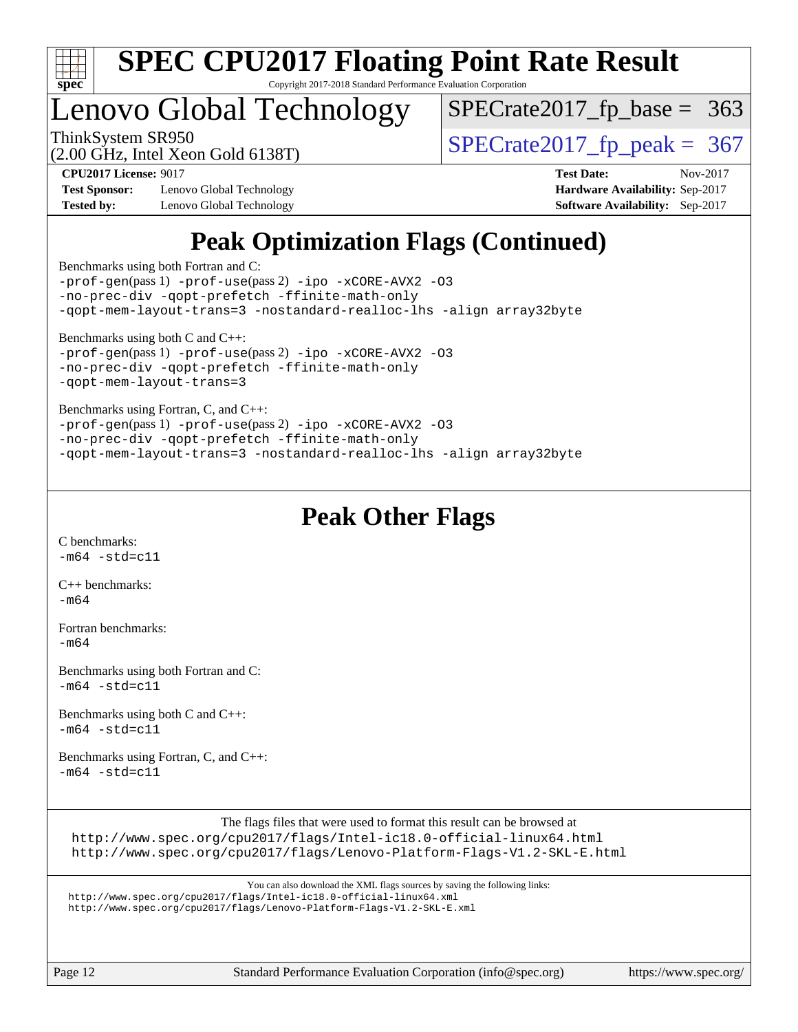

### Lenovo Global Technology

 $SPECTate2017_fp\_base = 363$ 

(2.00 GHz, Intel Xeon Gold 6138T)

ThinkSystem SR950<br>  $(2.00 \text{ GHz})$  Intel Xeon Gold 6138T)

**[Test Sponsor:](http://www.spec.org/auto/cpu2017/Docs/result-fields.html#TestSponsor)** Lenovo Global Technology **[Hardware Availability:](http://www.spec.org/auto/cpu2017/Docs/result-fields.html#HardwareAvailability)** Sep-2017 **[Tested by:](http://www.spec.org/auto/cpu2017/Docs/result-fields.html#Testedby)** Lenovo Global Technology **[Software Availability:](http://www.spec.org/auto/cpu2017/Docs/result-fields.html#SoftwareAvailability)** Sep-2017

**[CPU2017 License:](http://www.spec.org/auto/cpu2017/Docs/result-fields.html#CPU2017License)** 9017 **[Test Date:](http://www.spec.org/auto/cpu2017/Docs/result-fields.html#TestDate)** Nov-2017

### **[Peak Optimization Flags \(Continued\)](http://www.spec.org/auto/cpu2017/Docs/result-fields.html#PeakOptimizationFlags)**

[Benchmarks using both Fortran and C](http://www.spec.org/auto/cpu2017/Docs/result-fields.html#BenchmarksusingbothFortranandC):

[-prof-gen](http://www.spec.org/cpu2017/results/res2017q4/cpu2017-20171128-01267.flags.html#user_CC_FCpeak_prof_gen_5aa4926d6013ddb2a31985c654b3eb18169fc0c6952a63635c234f711e6e63dd76e94ad52365559451ec499a2cdb89e4dc58ba4c67ef54ca681ffbe1461d6b36)(pass 1) [-prof-use](http://www.spec.org/cpu2017/results/res2017q4/cpu2017-20171128-01267.flags.html#user_CC_FCpeak_prof_use_1a21ceae95f36a2b53c25747139a6c16ca95bd9def2a207b4f0849963b97e94f5260e30a0c64f4bb623698870e679ca08317ef8150905d41bd88c6f78df73f19)(pass 2) [-ipo](http://www.spec.org/cpu2017/results/res2017q4/cpu2017-20171128-01267.flags.html#user_CC_FCpeak_f-ipo) [-xCORE-AVX2](http://www.spec.org/cpu2017/results/res2017q4/cpu2017-20171128-01267.flags.html#user_CC_FCpeak_f-xCORE-AVX2) [-O3](http://www.spec.org/cpu2017/results/res2017q4/cpu2017-20171128-01267.flags.html#user_CC_FCpeak_f-O3) [-no-prec-div](http://www.spec.org/cpu2017/results/res2017q4/cpu2017-20171128-01267.flags.html#user_CC_FCpeak_f-no-prec-div) [-qopt-prefetch](http://www.spec.org/cpu2017/results/res2017q4/cpu2017-20171128-01267.flags.html#user_CC_FCpeak_f-qopt-prefetch) [-ffinite-math-only](http://www.spec.org/cpu2017/results/res2017q4/cpu2017-20171128-01267.flags.html#user_CC_FCpeak_f_finite_math_only_cb91587bd2077682c4b38af759c288ed7c732db004271a9512da14a4f8007909a5f1427ecbf1a0fb78ff2a814402c6114ac565ca162485bbcae155b5e4258871) [-qopt-mem-layout-trans=3](http://www.spec.org/cpu2017/results/res2017q4/cpu2017-20171128-01267.flags.html#user_CC_FCpeak_f-qopt-mem-layout-trans_de80db37974c74b1f0e20d883f0b675c88c3b01e9d123adea9b28688d64333345fb62bc4a798493513fdb68f60282f9a726aa07f478b2f7113531aecce732043) [-nostandard-realloc-lhs](http://www.spec.org/cpu2017/results/res2017q4/cpu2017-20171128-01267.flags.html#user_CC_FCpeak_f_2003_std_realloc_82b4557e90729c0f113870c07e44d33d6f5a304b4f63d4c15d2d0f1fab99f5daaed73bdb9275d9ae411527f28b936061aa8b9c8f2d63842963b95c9dd6426b8a) [-align array32byte](http://www.spec.org/cpu2017/results/res2017q4/cpu2017-20171128-01267.flags.html#user_CC_FCpeak_align_array32byte_b982fe038af199962ba9a80c053b8342c548c85b40b8e86eb3cc33dee0d7986a4af373ac2d51c3f7cf710a18d62fdce2948f201cd044323541f22fc0fffc51b6) [Benchmarks using both C and C++](http://www.spec.org/auto/cpu2017/Docs/result-fields.html#BenchmarksusingbothCandCXX): [-prof-gen](http://www.spec.org/cpu2017/results/res2017q4/cpu2017-20171128-01267.flags.html#user_CC_CXXpeak_prof_gen_5aa4926d6013ddb2a31985c654b3eb18169fc0c6952a63635c234f711e6e63dd76e94ad52365559451ec499a2cdb89e4dc58ba4c67ef54ca681ffbe1461d6b36)(pass 1) [-prof-use](http://www.spec.org/cpu2017/results/res2017q4/cpu2017-20171128-01267.flags.html#user_CC_CXXpeak_prof_use_1a21ceae95f36a2b53c25747139a6c16ca95bd9def2a207b4f0849963b97e94f5260e30a0c64f4bb623698870e679ca08317ef8150905d41bd88c6f78df73f19)(pass 2) [-ipo](http://www.spec.org/cpu2017/results/res2017q4/cpu2017-20171128-01267.flags.html#user_CC_CXXpeak_f-ipo) [-xCORE-AVX2](http://www.spec.org/cpu2017/results/res2017q4/cpu2017-20171128-01267.flags.html#user_CC_CXXpeak_f-xCORE-AVX2) [-O3](http://www.spec.org/cpu2017/results/res2017q4/cpu2017-20171128-01267.flags.html#user_CC_CXXpeak_f-O3) [-no-prec-div](http://www.spec.org/cpu2017/results/res2017q4/cpu2017-20171128-01267.flags.html#user_CC_CXXpeak_f-no-prec-div) [-qopt-prefetch](http://www.spec.org/cpu2017/results/res2017q4/cpu2017-20171128-01267.flags.html#user_CC_CXXpeak_f-qopt-prefetch) [-ffinite-math-only](http://www.spec.org/cpu2017/results/res2017q4/cpu2017-20171128-01267.flags.html#user_CC_CXXpeak_f_finite_math_only_cb91587bd2077682c4b38af759c288ed7c732db004271a9512da14a4f8007909a5f1427ecbf1a0fb78ff2a814402c6114ac565ca162485bbcae155b5e4258871) [-qopt-mem-layout-trans=3](http://www.spec.org/cpu2017/results/res2017q4/cpu2017-20171128-01267.flags.html#user_CC_CXXpeak_f-qopt-mem-layout-trans_de80db37974c74b1f0e20d883f0b675c88c3b01e9d123adea9b28688d64333345fb62bc4a798493513fdb68f60282f9a726aa07f478b2f7113531aecce732043) [Benchmarks using Fortran, C, and C++:](http://www.spec.org/auto/cpu2017/Docs/result-fields.html#BenchmarksusingFortranCandCXX) [-prof-gen](http://www.spec.org/cpu2017/results/res2017q4/cpu2017-20171128-01267.flags.html#user_CC_CXX_FCpeak_prof_gen_5aa4926d6013ddb2a31985c654b3eb18169fc0c6952a63635c234f711e6e63dd76e94ad52365559451ec499a2cdb89e4dc58ba4c67ef54ca681ffbe1461d6b36)(pass 1) [-prof-use](http://www.spec.org/cpu2017/results/res2017q4/cpu2017-20171128-01267.flags.html#user_CC_CXX_FCpeak_prof_use_1a21ceae95f36a2b53c25747139a6c16ca95bd9def2a207b4f0849963b97e94f5260e30a0c64f4bb623698870e679ca08317ef8150905d41bd88c6f78df73f19)(pass 2) [-ipo](http://www.spec.org/cpu2017/results/res2017q4/cpu2017-20171128-01267.flags.html#user_CC_CXX_FCpeak_f-ipo) [-xCORE-AVX2](http://www.spec.org/cpu2017/results/res2017q4/cpu2017-20171128-01267.flags.html#user_CC_CXX_FCpeak_f-xCORE-AVX2) [-O3](http://www.spec.org/cpu2017/results/res2017q4/cpu2017-20171128-01267.flags.html#user_CC_CXX_FCpeak_f-O3) [-no-prec-div](http://www.spec.org/cpu2017/results/res2017q4/cpu2017-20171128-01267.flags.html#user_CC_CXX_FCpeak_f-no-prec-div) [-qopt-prefetch](http://www.spec.org/cpu2017/results/res2017q4/cpu2017-20171128-01267.flags.html#user_CC_CXX_FCpeak_f-qopt-prefetch) [-ffinite-math-only](http://www.spec.org/cpu2017/results/res2017q4/cpu2017-20171128-01267.flags.html#user_CC_CXX_FCpeak_f_finite_math_only_cb91587bd2077682c4b38af759c288ed7c732db004271a9512da14a4f8007909a5f1427ecbf1a0fb78ff2a814402c6114ac565ca162485bbcae155b5e4258871) [-qopt-mem-layout-trans=3](http://www.spec.org/cpu2017/results/res2017q4/cpu2017-20171128-01267.flags.html#user_CC_CXX_FCpeak_f-qopt-mem-layout-trans_de80db37974c74b1f0e20d883f0b675c88c3b01e9d123adea9b28688d64333345fb62bc4a798493513fdb68f60282f9a726aa07f478b2f7113531aecce732043) [-nostandard-realloc-lhs](http://www.spec.org/cpu2017/results/res2017q4/cpu2017-20171128-01267.flags.html#user_CC_CXX_FCpeak_f_2003_std_realloc_82b4557e90729c0f113870c07e44d33d6f5a304b4f63d4c15d2d0f1fab99f5daaed73bdb9275d9ae411527f28b936061aa8b9c8f2d63842963b95c9dd6426b8a) [-align array32byte](http://www.spec.org/cpu2017/results/res2017q4/cpu2017-20171128-01267.flags.html#user_CC_CXX_FCpeak_align_array32byte_b982fe038af199962ba9a80c053b8342c548c85b40b8e86eb3cc33dee0d7986a4af373ac2d51c3f7cf710a18d62fdce2948f201cd044323541f22fc0fffc51b6)

### **[Peak Other Flags](http://www.spec.org/auto/cpu2017/Docs/result-fields.html#PeakOtherFlags)**

[C benchmarks](http://www.spec.org/auto/cpu2017/Docs/result-fields.html#Cbenchmarks):  $-m64 - std = c11$  $-m64 - std = c11$ 

[C++ benchmarks:](http://www.spec.org/auto/cpu2017/Docs/result-fields.html#CXXbenchmarks)  $-m64$ 

[Fortran benchmarks](http://www.spec.org/auto/cpu2017/Docs/result-fields.html#Fortranbenchmarks): [-m64](http://www.spec.org/cpu2017/results/res2017q4/cpu2017-20171128-01267.flags.html#user_FCpeak_intel_intel64_18.0_af43caccfc8ded86e7699f2159af6efc7655f51387b94da716254467f3c01020a5059329e2569e4053f409e7c9202a7efc638f7a6d1ffb3f52dea4a3e31d82ab)

[Benchmarks using both Fortran and C](http://www.spec.org/auto/cpu2017/Docs/result-fields.html#BenchmarksusingbothFortranandC):  $-m64 - std = c11$  $-m64 - std = c11$ 

[Benchmarks using both C and C++](http://www.spec.org/auto/cpu2017/Docs/result-fields.html#BenchmarksusingbothCandCXX):  $-m64 - std= c11$  $-m64 - std= c11$ 

[Benchmarks using Fortran, C, and C++:](http://www.spec.org/auto/cpu2017/Docs/result-fields.html#BenchmarksusingFortranCandCXX)  $-m64 - std = c11$  $-m64 - std = c11$ 

The flags files that were used to format this result can be browsed at

<http://www.spec.org/cpu2017/flags/Intel-ic18.0-official-linux64.html> <http://www.spec.org/cpu2017/flags/Lenovo-Platform-Flags-V1.2-SKL-E.html>

You can also download the XML flags sources by saving the following links: <http://www.spec.org/cpu2017/flags/Intel-ic18.0-official-linux64.xml>

<http://www.spec.org/cpu2017/flags/Lenovo-Platform-Flags-V1.2-SKL-E.xml>